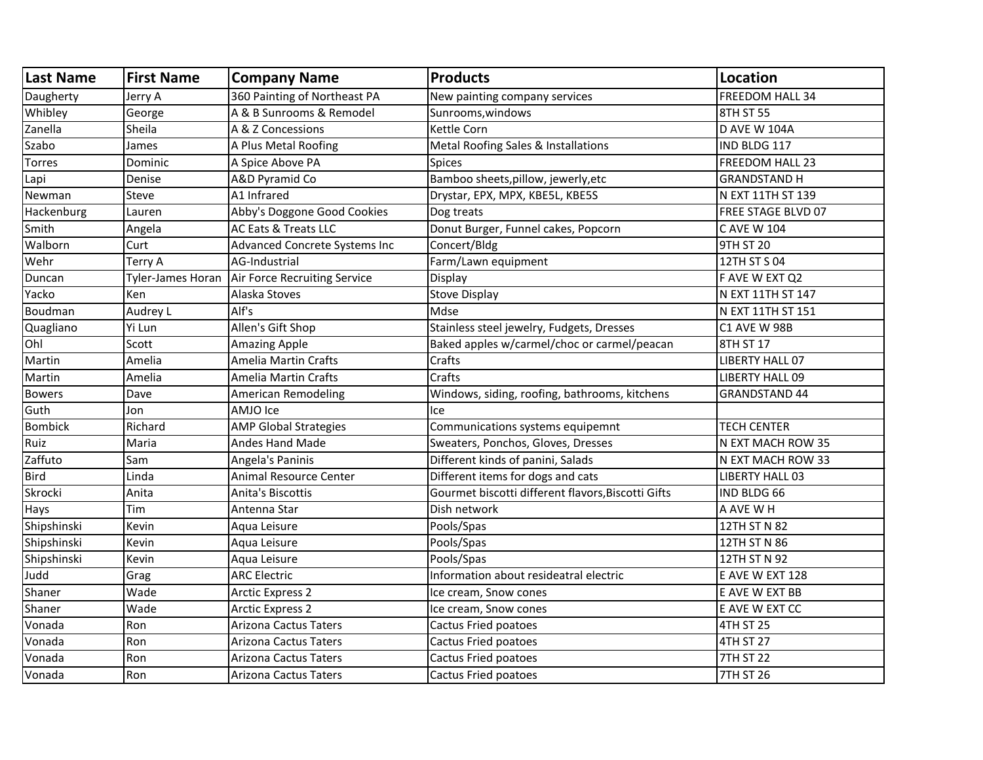| <b>Last Name</b> | <b>First Name</b> | <b>Company Name</b>           | <b>Products</b>                                    | <b>Location</b>        |
|------------------|-------------------|-------------------------------|----------------------------------------------------|------------------------|
| Daugherty        | Jerry A           | 360 Painting of Northeast PA  | New painting company services                      | FREEDOM HALL 34        |
| Whibley          | George            | A & B Sunrooms & Remodel      | Sunrooms, windows                                  | 8TH ST 55              |
| Zanella          | Sheila            | A & Z Concessions             | <b>Kettle Corn</b>                                 | <b>D AVE W 104A</b>    |
| Szabo            | James             | A Plus Metal Roofing          | Metal Roofing Sales & Installations                | IND BLDG 117           |
| <b>Torres</b>    | Dominic           | A Spice Above PA              | <b>Spices</b>                                      | FREEDOM HALL 23        |
| Lapi             | Denise            | A&D Pyramid Co                | Bamboo sheets, pillow, jewerly, etc                | <b>GRANDSTAND H</b>    |
| Newman           | Steve             | A1 Infrared                   | Drystar, EPX, MPX, KBE5L, KBE5S                    | N EXT 11TH ST 139      |
| Hackenburg       | Lauren            | Abby's Doggone Good Cookies   | Dog treats                                         | FREE STAGE BLVD 07     |
| Smith            | Angela            | AC Eats & Treats LLC          | Donut Burger, Funnel cakes, Popcorn                | <b>CAVE W 104</b>      |
| Walborn          | Curt              | Advanced Concrete Systems Inc | Concert/Bldg                                       | 9TH ST 20              |
| Wehr             | Terry A           | AG-Industrial                 | Farm/Lawn equipment                                | 12TH ST S 04           |
| Duncan           | Tyler-James Horan | Air Force Recruiting Service  | Display                                            | F AVE W EXT Q2         |
| Yacko            | Ken               | Alaska Stoves                 | <b>Stove Display</b>                               | N EXT 11TH ST 147      |
| Boudman          | Audrey L          | Alf's                         | Mdse                                               | N EXT 11TH ST 151      |
| Quagliano        | Yi Lun            | Allen's Gift Shop             | Stainless steel jewelry, Fudgets, Dresses          | C1 AVE W 98B           |
| Ohl              | Scott             | <b>Amazing Apple</b>          | Baked apples w/carmel/choc or carmel/peacan        | 8TH ST 17              |
| Martin           | Amelia            | <b>Amelia Martin Crafts</b>   | Crafts                                             | LIBERTY HALL 07        |
| Martin           | Amelia            | <b>Amelia Martin Crafts</b>   | Crafts                                             | <b>LIBERTY HALL 09</b> |
| <b>Bowers</b>    | Dave              | <b>American Remodeling</b>    | Windows, siding, roofing, bathrooms, kitchens      | <b>GRANDSTAND 44</b>   |
| Guth             | Jon               | AMJO Ice                      | Ice                                                |                        |
| Bombick          | Richard           | <b>AMP Global Strategies</b>  | Communications systems equipemnt                   | <b>TECH CENTER</b>     |
| Ruiz             | Maria             | <b>Andes Hand Made</b>        | Sweaters, Ponchos, Gloves, Dresses                 | N EXT MACH ROW 35      |
| Zaffuto          | Sam               | Angela's Paninis              | Different kinds of panini, Salads                  | N EXT MACH ROW 33      |
| <b>Bird</b>      | Linda             | <b>Animal Resource Center</b> | Different items for dogs and cats                  | LIBERTY HALL 03        |
| Skrocki          | Anita             | Anita's Biscottis             | Gourmet biscotti different flavors, Biscotti Gifts | IND BLDG 66            |
| Hays             | Tim               | Antenna Star                  | Dish network                                       | A AVE WH               |
| Shipshinski      | Kevin             | Aqua Leisure                  | Pools/Spas                                         | 12TH ST N 82           |
| Shipshinski      | Kevin             | Aqua Leisure                  | Pools/Spas                                         | 12TH ST N 86           |
| Shipshinski      | Kevin             | Aqua Leisure                  | Pools/Spas                                         | 12TH ST N 92           |
| Judd             | Grag              | <b>ARC Electric</b>           | Information about resideatral electric             | E AVE W EXT 128        |
| Shaner           | Wade              | <b>Arctic Express 2</b>       | Ice cream, Snow cones                              | E AVE W EXT BB         |
| Shaner           | Wade              | <b>Arctic Express 2</b>       | Ice cream, Snow cones                              | E AVE W EXT CC         |
| Vonada           | Ron               | <b>Arizona Cactus Taters</b>  | Cactus Fried poatoes                               | <b>4TH ST 25</b>       |
| Vonada           | Ron               | Arizona Cactus Taters         | Cactus Fried poatoes                               | 4TH ST 27              |
| Vonada           | Ron               | Arizona Cactus Taters         | Cactus Fried poatoes                               | <b>7TH ST 22</b>       |
| Vonada           | Ron               | Arizona Cactus Taters         | Cactus Fried poatoes                               | <b>7TH ST 26</b>       |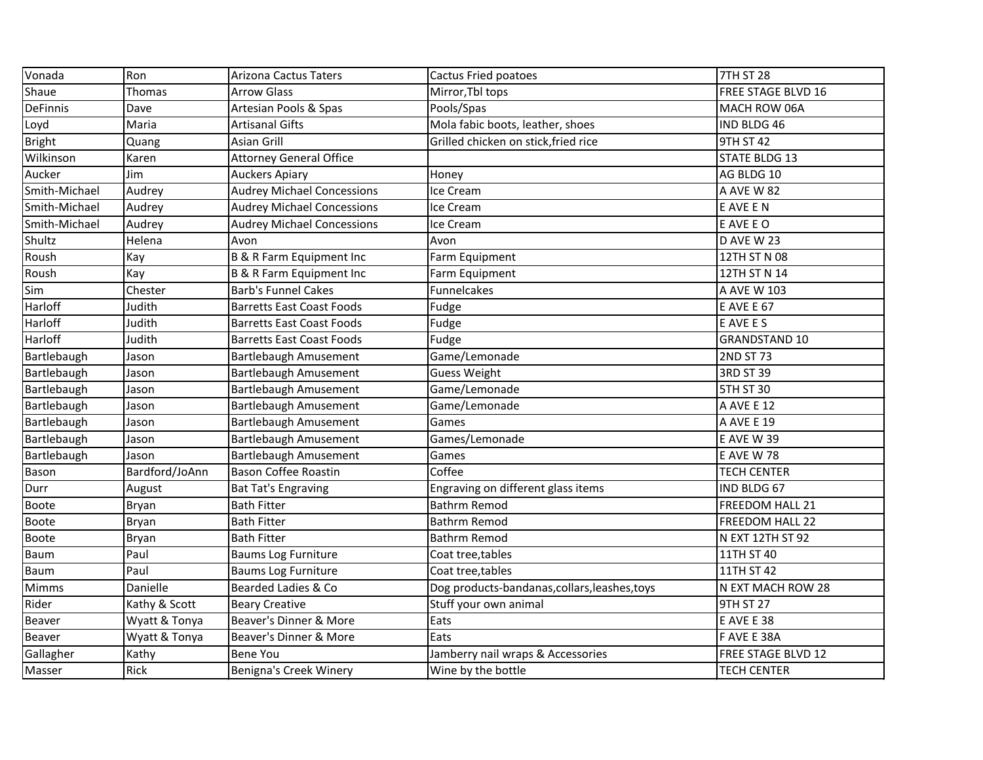| Vonada          | Ron            | <b>Arizona Cactus Taters</b>      | Cactus Fried poatoes                          | <b>7TH ST 28</b>          |
|-----------------|----------------|-----------------------------------|-----------------------------------------------|---------------------------|
| Shaue           | Thomas         | <b>Arrow Glass</b>                | Mirror, Tbl tops                              | <b>FREE STAGE BLVD 16</b> |
| <b>DeFinnis</b> | Dave           | Artesian Pools & Spas             | Pools/Spas                                    | MACH ROW 06A              |
| Loyd            | Maria          | <b>Artisanal Gifts</b>            | Mola fabic boots, leather, shoes              | IND BLDG 46               |
| Bright          | Quang          | Asian Grill                       | Grilled chicken on stick, fried rice          | <b>9TH ST 42</b>          |
| Wilkinson       | Karen          | <b>Attorney General Office</b>    |                                               | <b>STATE BLDG 13</b>      |
| Aucker          | Jim            | <b>Auckers Apiary</b>             | Honey                                         | AG BLDG 10                |
| Smith-Michael   | Audrey         | <b>Audrey Michael Concessions</b> | Ice Cream                                     | A AVE W 82                |
| Smith-Michael   | Audrey         | <b>Audrey Michael Concessions</b> | Ice Cream                                     | E AVE E N                 |
| Smith-Michael   | Audrey         | <b>Audrey Michael Concessions</b> | Ice Cream                                     | E AVE E O                 |
| Shultz          | Helena         | Avon                              | Avon                                          | D AVE W 23                |
| Roush           | Kay            | B & R Farm Equipment Inc          | Farm Equipment                                | 12TH ST N 08              |
| Roush           | Kay            | B & R Farm Equipment Inc          | Farm Equipment                                | 12TH ST N 14              |
| Sim             | Chester        | <b>Barb's Funnel Cakes</b>        | <b>Funnelcakes</b>                            | A AVE W 103               |
| Harloff         | Judith         | <b>Barretts East Coast Foods</b>  | Fudge                                         | <b>E AVE E 67</b>         |
| Harloff         | Judith         | <b>Barretts East Coast Foods</b>  | Fudge                                         | E AVE E S                 |
| Harloff         | Judith         | <b>Barretts East Coast Foods</b>  | Fudge                                         | <b>GRANDSTAND 10</b>      |
| Bartlebaugh     | Jason          | Bartlebaugh Amusement             | Game/Lemonade                                 | <b>2ND ST 73</b>          |
| Bartlebaugh     | Jason          | Bartlebaugh Amusement             | <b>Guess Weight</b>                           | 3RD ST 39                 |
| Bartlebaugh     | Jason          | Bartlebaugh Amusement             | Game/Lemonade                                 | <b>5TH ST 30</b>          |
| Bartlebaugh     | Jason          | <b>Bartlebaugh Amusement</b>      | Game/Lemonade                                 | A AVE E 12                |
| Bartlebaugh     | Jason          | Bartlebaugh Amusement             | Games                                         | A AVE E 19                |
| Bartlebaugh     | Jason          | Bartlebaugh Amusement             | Games/Lemonade                                | <b>E AVE W 39</b>         |
| Bartlebaugh     | Jason          | <b>Bartlebaugh Amusement</b>      | Games                                         | <b>E AVE W 78</b>         |
| Bason           | Bardford/JoAnn | <b>Bason Coffee Roastin</b>       | Coffee                                        | <b>TECH CENTER</b>        |
| Durr            | August         | <b>Bat Tat's Engraving</b>        | Engraving on different glass items            | IND BLDG 67               |
| <b>Boote</b>    | Bryan          | <b>Bath Fitter</b>                | Bathrm Remod                                  | FREEDOM HALL 21           |
| Boote           | Bryan          | <b>Bath Fitter</b>                | <b>Bathrm Remod</b>                           | FREEDOM HALL 22           |
| Boote           | Bryan          | <b>Bath Fitter</b>                | <b>Bathrm Remod</b>                           | N EXT 12TH ST 92          |
| Baum            | Paul           | <b>Baums Log Furniture</b>        | Coat tree, tables                             | 11TH ST 40                |
| Baum            | Paul           | <b>Baums Log Furniture</b>        | Coat tree, tables                             | 11TH ST 42                |
| <b>Mimms</b>    | Danielle       | Bearded Ladies & Co               | Dog products-bandanas, collars, leashes, toys | N EXT MACH ROW 28         |
| Rider           | Kathy & Scott  | <b>Beary Creative</b>             | Stuff your own animal                         | <b>9TH ST 27</b>          |
| Beaver          | Wyatt & Tonya  | Beaver's Dinner & More            | Eats                                          | E AVE E 38                |
| Beaver          | Wyatt & Tonya  | Beaver's Dinner & More            | Eats                                          | F AVE E 38A               |
| Gallagher       | Kathy          | <b>Bene You</b>                   | Jamberry nail wraps & Accessories             | FREE STAGE BLVD 12        |
| Masser          | Rick           | Benigna's Creek Winery            | Wine by the bottle                            | <b>TECH CENTER</b>        |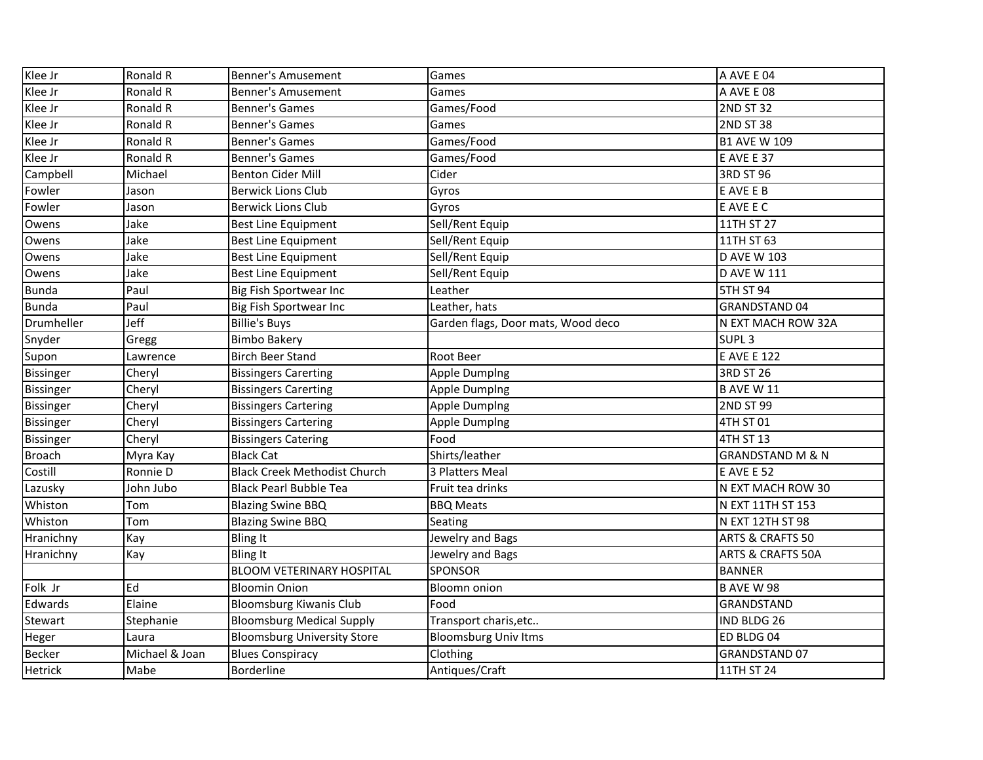| Klee Jr          | Ronald R       | <b>Benner's Amusement</b>           | Games                              | A AVE E 04                   |
|------------------|----------------|-------------------------------------|------------------------------------|------------------------------|
| Klee Jr          | Ronald R       | <b>Benner's Amusement</b>           | Games                              | A AVE E 08                   |
| Klee Jr          | Ronald R       | <b>Benner's Games</b>               | Games/Food                         | <b>2ND ST 32</b>             |
| Klee Jr          | Ronald R       | <b>Benner's Games</b>               | Games                              | <b>2ND ST 38</b>             |
| Klee Jr          | Ronald R       | <b>Benner's Games</b>               | Games/Food                         | <b>B1 AVE W 109</b>          |
| Klee Jr          | Ronald R       | <b>Benner's Games</b>               | Games/Food                         | E AVE E 37                   |
| Campbell         | Michael        | <b>Benton Cider Mill</b>            | Cider                              | 3RD ST 96                    |
| Fowler           | Jason          | <b>Berwick Lions Club</b>           | Gyros                              | E AVE E B                    |
| Fowler           | Jason          | <b>Berwick Lions Club</b>           | Gyros                              | E AVE E C                    |
| Owens            | Jake           | <b>Best Line Equipment</b>          | Sell/Rent Equip                    | 11TH ST 27                   |
| Owens            | Jake           | <b>Best Line Equipment</b>          | Sell/Rent Equip                    | 11TH ST 63                   |
| Owens            | Jake           | <b>Best Line Equipment</b>          | Sell/Rent Equip                    | <b>D AVE W 103</b>           |
| Owens            | Jake           | <b>Best Line Equipment</b>          | Sell/Rent Equip                    | <b>D AVE W 111</b>           |
| <b>Bunda</b>     | Paul           | Big Fish Sportwear Inc              | Leather                            | <b>5TH ST 94</b>             |
| <b>Bunda</b>     | Paul           | Big Fish Sportwear Inc              | Leather, hats                      | <b>GRANDSTAND 04</b>         |
| Drumheller       | Jeff           | <b>Billie's Buys</b>                | Garden flags, Door mats, Wood deco | N EXT MACH ROW 32A           |
| Snyder           | Gregg          | <b>Bimbo Bakery</b>                 |                                    | SUPL <sub>3</sub>            |
| Supon            | Lawrence       | <b>Birch Beer Stand</b>             | Root Beer                          | <b>E AVE E 122</b>           |
| <b>Bissinger</b> | Cheryl         | <b>Bissingers Carerting</b>         | <b>Apple Dumping</b>               | <b>3RD ST 26</b>             |
| Bissinger        | Cheryl         | <b>Bissingers Carerting</b>         | <b>Apple Dumping</b>               | <b>B AVE W 11</b>            |
| <b>Bissinger</b> | Cheryl         | <b>Bissingers Cartering</b>         | <b>Apple Dumping</b>               | <b>2ND ST 99</b>             |
| Bissinger        | Cheryl         | <b>Bissingers Cartering</b>         | <b>Apple Dumping</b>               | 4TH ST 01                    |
| Bissinger        | Cheryl         | <b>Bissingers Catering</b>          | Food                               | 4TH ST 13                    |
| <b>Broach</b>    | Myra Kay       | <b>Black Cat</b>                    | Shirts/leather                     | <b>GRANDSTAND M &amp; N</b>  |
| Costill          | Ronnie D       | <b>Black Creek Methodist Church</b> | 3 Platters Meal                    | <b>E AVE E 52</b>            |
| Lazusky          | John Jubo      | <b>Black Pearl Bubble Tea</b>       | Fruit tea drinks                   | N EXT MACH ROW 30            |
| Whiston          | Tom            | <b>Blazing Swine BBQ</b>            | <b>BBQ Meats</b>                   | N EXT 11TH ST 153            |
| Whiston          | Tom            | <b>Blazing Swine BBQ</b>            | Seating                            | N EXT 12TH ST 98             |
| Hranichny        | Kay            | <b>Bling It</b>                     | Jewelry and Bags                   | <b>ARTS &amp; CRAFTS 50</b>  |
| Hranichny        | Kay            | <b>Bling It</b>                     | Jewelry and Bags                   | <b>ARTS &amp; CRAFTS 50A</b> |
|                  |                | <b>BLOOM VETERINARY HOSPITAL</b>    | <b>SPONSOR</b>                     | <b>BANNER</b>                |
| Folk Jr          | Ed             | <b>Bloomin Onion</b>                | <b>Bloomn onion</b>                | <b>B AVE W 98</b>            |
| Edwards          | Elaine         | <b>Bloomsburg Kiwanis Club</b>      | Food                               | <b>GRANDSTAND</b>            |
| Stewart          | Stephanie      | <b>Bloomsburg Medical Supply</b>    | Transport charis, etc              | IND BLDG 26                  |
| Heger            | Laura          | <b>Bloomsburg University Store</b>  | <b>Bloomsburg Univ Itms</b>        | ED BLDG 04                   |
| Becker           | Michael & Joan | <b>Blues Conspiracy</b>             | Clothing                           | <b>GRANDSTAND 07</b>         |
| <b>Hetrick</b>   | Mabe           | Borderline                          | Antiques/Craft                     | 11TH ST 24                   |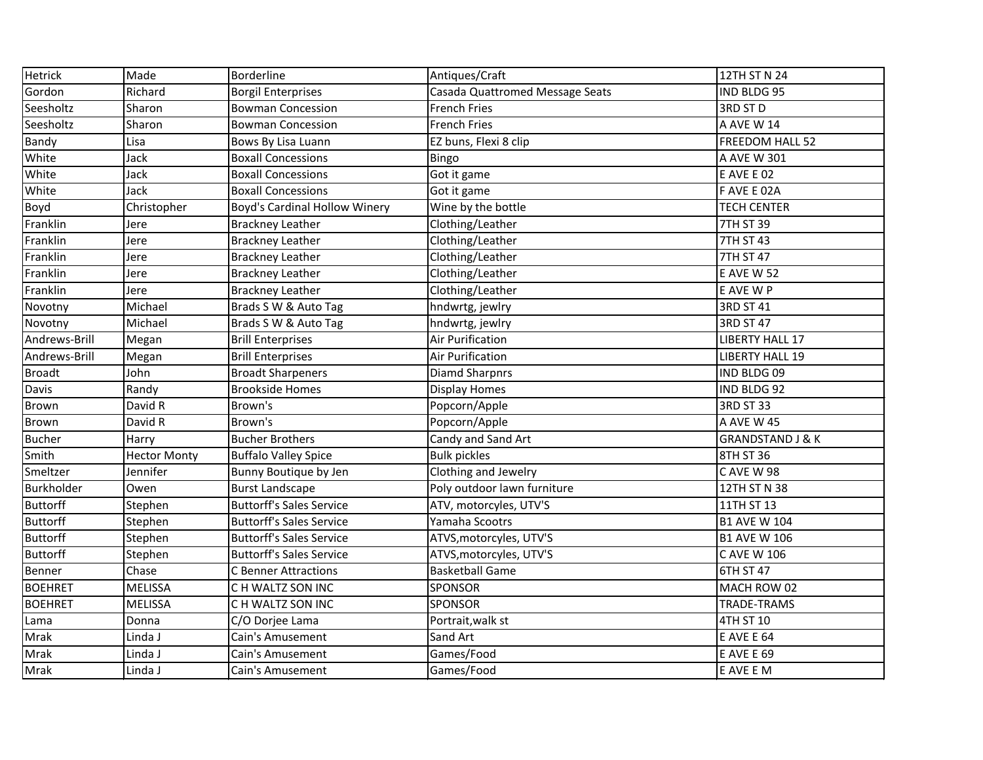| <b>Hetrick</b>  | Made                | Borderline                      | Antiques/Craft                  | 12TH ST N 24                |
|-----------------|---------------------|---------------------------------|---------------------------------|-----------------------------|
| Gordon          | Richard             | <b>Borgil Enterprises</b>       | Casada Quattromed Message Seats | IND BLDG 95                 |
| Seesholtz       | Sharon              | <b>Bowman Concession</b>        | <b>French Fries</b>             | 3RD ST D                    |
| Seesholtz       | Sharon              | <b>Bowman Concession</b>        | <b>French Fries</b>             | A AVE W 14                  |
| Bandy           | Lisa                | Bows By Lisa Luann              | EZ buns, Flexi 8 clip           | FREEDOM HALL 52             |
| White           | Jack                | <b>Boxall Concessions</b>       | Bingo                           | A AVE W 301                 |
| White           | Jack                | <b>Boxall Concessions</b>       | Got it game                     | <b>E AVE E 02</b>           |
| White           | Jack                | <b>Boxall Concessions</b>       | Got it game                     | F AVE E 02A                 |
| Boyd            | Christopher         | Boyd's Cardinal Hollow Winery   | Wine by the bottle              | <b>TECH CENTER</b>          |
| Franklin        | Jere                | <b>Brackney Leather</b>         | Clothing/Leather                | 7TH ST 39                   |
| Franklin        | Jere                | <b>Brackney Leather</b>         | Clothing/Leather                | 7TH ST 43                   |
| Franklin        | Jere                | <b>Brackney Leather</b>         | Clothing/Leather                | 7TH ST 47                   |
| Franklin        | Jere                | <b>Brackney Leather</b>         | Clothing/Leather                | <b>E AVE W 52</b>           |
| Franklin        | Jere                | <b>Brackney Leather</b>         | Clothing/Leather                | E AVE W P                   |
| Novotny         | Michael             | Brads S W & Auto Tag            | hndwrtg, jewlry                 | 3RD ST 41                   |
| Novotny         | Michael             | Brads S W & Auto Tag            | hndwrtg, jewlry                 | 3RD ST 47                   |
| Andrews-Brill   | Megan               | <b>Brill Enterprises</b>        | <b>Air Purification</b>         | <b>LIBERTY HALL 17</b>      |
| Andrews-Brill   | Megan               | <b>Brill Enterprises</b>        | Air Purification                | <b>LIBERTY HALL 19</b>      |
| <b>Broadt</b>   | John                | <b>Broadt Sharpeners</b>        | <b>Diamd Sharpnrs</b>           | IND BLDG 09                 |
| Davis           | Randy               | <b>Brookside Homes</b>          | <b>Display Homes</b>            | IND BLDG 92                 |
| Brown           | David R             | Brown's                         | Popcorn/Apple                   | 3RD ST 33                   |
| <b>Brown</b>    | David R             | Brown's                         | Popcorn/Apple                   | A AVE W 45                  |
| <b>Bucher</b>   | Harry               | <b>Bucher Brothers</b>          | Candy and Sand Art              | <b>GRANDSTAND J &amp; K</b> |
| Smith           | <b>Hector Monty</b> | <b>Buffalo Valley Spice</b>     | <b>Bulk pickles</b>             | 8TH ST 36                   |
| Smeltzer        | Jennifer            | Bunny Boutique by Jen           | Clothing and Jewelry            | CAVE W 98                   |
| Burkholder      | Owen                | <b>Burst Landscape</b>          | Poly outdoor lawn furniture     | 12TH ST N 38                |
| <b>Buttorff</b> | Stephen             | <b>Buttorff's Sales Service</b> | ATV, motorcyles, UTV'S          | 11TH ST 13                  |
| Buttorff        | Stephen             | <b>Buttorff's Sales Service</b> | Yamaha Scootrs                  | <b>B1 AVE W 104</b>         |
| <b>Buttorff</b> | Stephen             | <b>Buttorff's Sales Service</b> | ATVS, motorcyles, UTV'S         | <b>B1 AVE W 106</b>         |
| <b>Buttorff</b> | Stephen             | <b>Buttorff's Sales Service</b> | ATVS, motorcyles, UTV'S         | C AVE W 106                 |
| Benner          | Chase               | <b>C</b> Benner Attractions     | <b>Basketball Game</b>          | 6TH ST 47                   |
| <b>BOEHRET</b>  | <b>MELISSA</b>      | C H WALTZ SON INC               | <b>I</b> SPONSOR                | IMACH ROW 02                |
| <b>BOEHRET</b>  | <b>MELISSA</b>      | CH WALTZ SON INC                | <b>SPONSOR</b>                  | <b>TRADE-TRAMS</b>          |
| Lama            | Donna               | C/O Dorjee Lama                 | Portrait, walk st               | 4TH ST 10                   |
| Mrak            | Linda J             | Cain's Amusement                | Sand Art                        | E AVE E 64                  |
| Mrak            | Linda J             | Cain's Amusement                | Games/Food                      | <b>E AVE E 69</b>           |
| Mrak            | Linda J             | Cain's Amusement                | Games/Food                      | E AVE E M                   |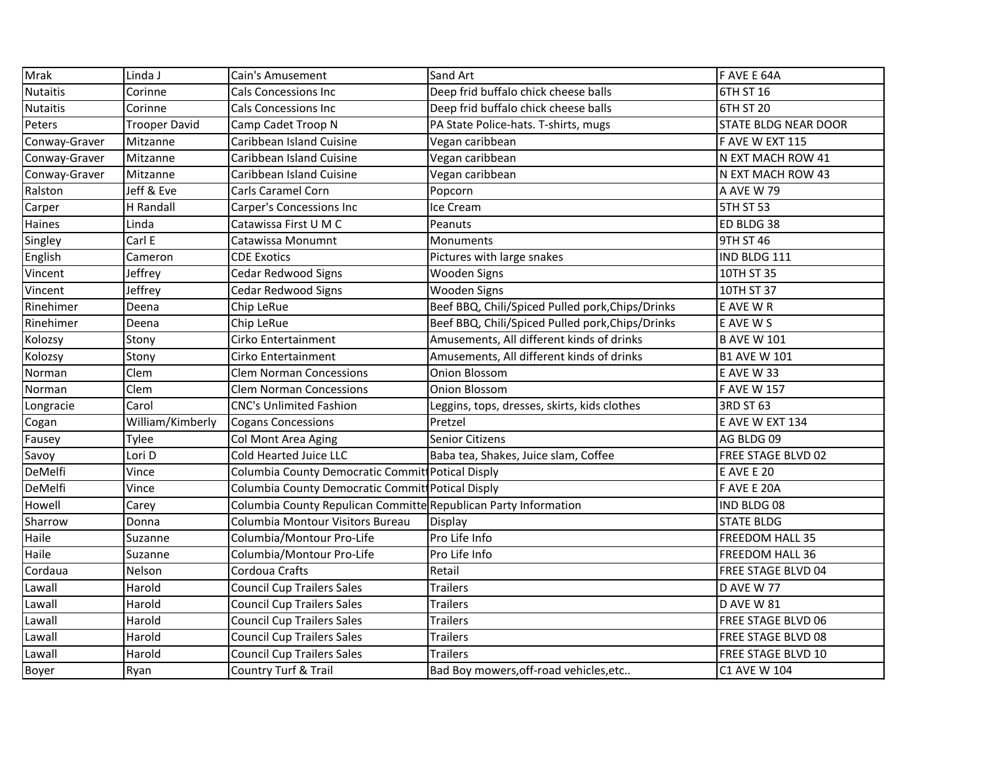| Mrak            | Linda J              | Cain's Amusement                                                | <b>Sand Art</b>                                  | F AVE E 64A          |
|-----------------|----------------------|-----------------------------------------------------------------|--------------------------------------------------|----------------------|
| <b>Nutaitis</b> | Corinne              | <b>Cals Concessions Inc</b>                                     | Deep frid buffalo chick cheese balls             | 6TH ST 16            |
| <b>Nutaitis</b> | Corinne              | Cals Concessions Inc                                            | Deep frid buffalo chick cheese balls             | 6TH ST 20            |
| Peters          | <b>Trooper David</b> | Camp Cadet Troop N                                              | PA State Police-hats. T-shirts, mugs             | STATE BLDG NEAR DOOR |
| Conway-Graver   | Mitzanne             | Caribbean Island Cuisine                                        | Vegan caribbean                                  | F AVE W EXT 115      |
| Conway-Graver   | Mitzanne             | Caribbean Island Cuisine                                        | Vegan caribbean                                  | N EXT MACH ROW 41    |
| Conway-Graver   | Mitzanne             | Caribbean Island Cuisine                                        | Vegan caribbean                                  | N EXT MACH ROW 43    |
| Ralston         | Jeff & Eve           | Carls Caramel Corn                                              | Popcorn                                          | A AVE W 79           |
| Carper          | H Randall            | Carper's Concessions Inc                                        | Ice Cream                                        | <b>5TH ST 53</b>     |
| Haines          | Linda                | Catawissa First U M C                                           | Peanuts                                          | ED BLDG 38           |
| Singley         | Carl E               | Catawissa Monumnt                                               | Monuments                                        | 9TH ST 46            |
| English         | Cameron              | <b>CDE Exotics</b>                                              | Pictures with large snakes                       | IND BLDG 111         |
| Vincent         | Jeffrey              | <b>Cedar Redwood Signs</b>                                      | <b>Wooden Signs</b>                              | 10TH ST 35           |
| Vincent         | Jeffrey              | Cedar Redwood Signs                                             | <b>Wooden Signs</b>                              | 10TH ST 37           |
| Rinehimer       | Deena                | Chip LeRue                                                      | Beef BBQ, Chili/Spiced Pulled pork, Chips/Drinks | E AVE W R            |
| Rinehimer       | Deena                | Chip LeRue                                                      | Beef BBQ, Chili/Spiced Pulled pork, Chips/Drinks | E AVE W S            |
| Kolozsy         | Stony                | Cirko Entertainment                                             | Amusements, All different kinds of drinks        | <b>B AVE W 101</b>   |
| Kolozsy         | Stony                | Cirko Entertainment                                             | Amusements, All different kinds of drinks        | <b>B1 AVE W 101</b>  |
| Norman          | Clem                 | <b>Clem Norman Concessions</b>                                  | Onion Blossom                                    | <b>E AVE W 33</b>    |
| Norman          | Clem                 | <b>Clem Norman Concessions</b>                                  | Onion Blossom                                    | <b>F AVE W 157</b>   |
| Longracie       | Carol                | <b>CNC's Unlimited Fashion</b>                                  | Leggins, tops, dresses, skirts, kids clothes     | 3RD ST 63            |
| Cogan           | William/Kimberly     | <b>Cogans Concessions</b>                                       | Pretzel                                          | E AVE W EXT 134      |
| Fausey          | Tylee                | Col Mont Area Aging                                             | <b>Senior Citizens</b>                           | AG BLDG 09           |
| Savoy           | Lori D               | Cold Hearted Juice LLC                                          | Baba tea, Shakes, Juice slam, Coffee             | FREE STAGE BLVD 02   |
| DeMelfi         | Vince                | Columbia County Democratic Commit Potical Disply                |                                                  | <b>E AVE E 20</b>    |
| DeMelfi         | Vince                | Columbia County Democratic Commit Potical Disply                |                                                  | F AVE E 20A          |
| Howell          | Carey                | Columbia County Repulican Committe Republican Party Information |                                                  | IND BLDG 08          |
| Sharrow         | Donna                | Columbia Montour Visitors Bureau                                | Display                                          | <b>STATE BLDG</b>    |
| Haile           | Suzanne              | Columbia/Montour Pro-Life                                       | Pro Life Info                                    | FREEDOM HALL 35      |
| Haile           | Suzanne              | Columbia/Montour Pro-Life                                       | Pro Life Info                                    | FREEDOM HALL 36      |
| Cordaua         | Nelson               | Cordoua Crafts                                                  | Retail                                           | FREE STAGE BLVD 04   |
| Lawall          | Harold               | Council Cup Trailers Sales                                      | Trailers                                         | <b>D AVE W 77</b>    |
| Lawall          | Harold               | <b>Council Cup Trailers Sales</b>                               | <b>Trailers</b>                                  | D AVE W 81           |
| Lawall          | Harold               | <b>Council Cup Trailers Sales</b>                               | <b>Trailers</b>                                  | FREE STAGE BLVD 06   |
| Lawall          | Harold               | <b>Council Cup Trailers Sales</b>                               | <b>Trailers</b>                                  | FREE STAGE BLVD 08   |
| Lawall          | Harold               | <b>Council Cup Trailers Sales</b>                               | <b>Trailers</b>                                  | FREE STAGE BLVD 10   |
| Boyer           | Ryan                 | <b>Country Turf &amp; Trail</b>                                 | Bad Boy mowers, off-road vehicles, etc           | C1 AVE W 104         |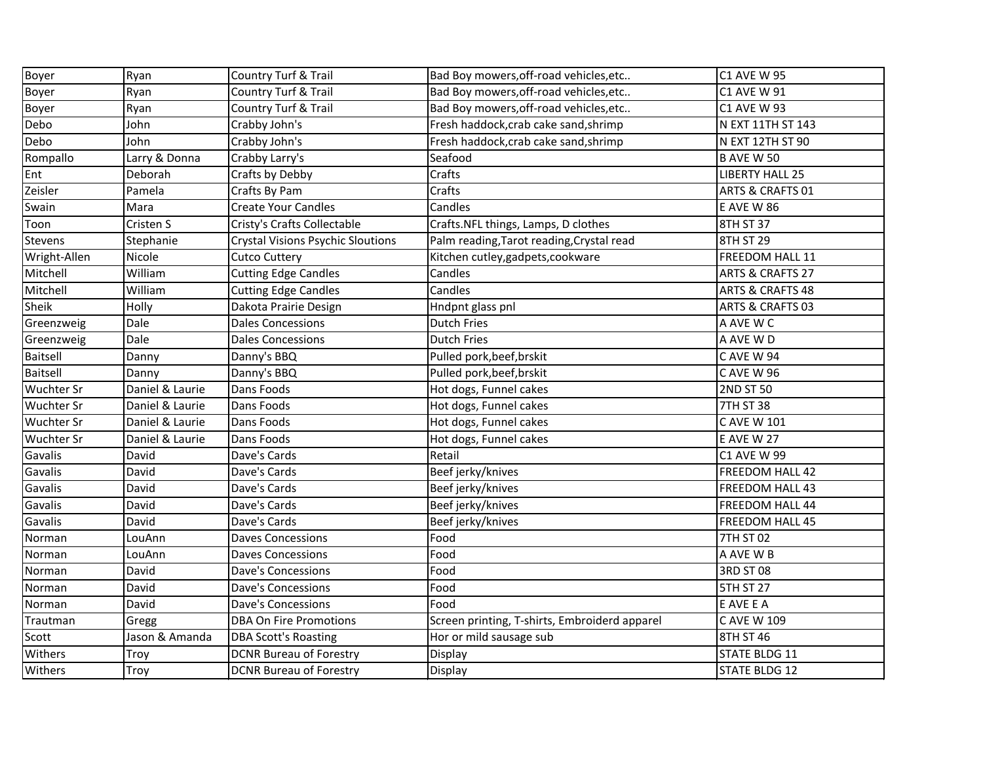| Boyer             | Ryan            | Country Turf & Trail                     | Bad Boy mowers, off-road vehicles, etc        | <b>C1 AVE W 95</b>          |
|-------------------|-----------------|------------------------------------------|-----------------------------------------------|-----------------------------|
| Boyer             | Ryan            | Country Turf & Trail                     | Bad Boy mowers, off-road vehicles, etc        | <b>C1 AVE W 91</b>          |
| Boyer             | Ryan            | Country Turf & Trail                     | Bad Boy mowers, off-road vehicles, etc        | <b>C1 AVE W 93</b>          |
| Debo              | John            | Crabby John's                            | Fresh haddock, crab cake sand, shrimp         | N EXT 11TH ST 143           |
| Debo              | John            | Crabby John's                            | Fresh haddock, crab cake sand, shrimp         | N EXT 12TH ST 90            |
| Rompallo          | Larry & Donna   | Crabby Larry's                           | Seafood                                       | <b>B AVE W 50</b>           |
| Ent               | Deborah         | Crafts by Debby                          | Crafts                                        | <b>LIBERTY HALL 25</b>      |
| Zeisler           | Pamela          | Crafts By Pam                            | Crafts                                        | <b>ARTS &amp; CRAFTS 01</b> |
| Swain             | Mara            | <b>Create Your Candles</b>               | Candles                                       | <b>E AVE W 86</b>           |
| Toon              | Cristen S       | Cristy's Crafts Collectable              | Crafts.NFL things, Lamps, D clothes           | 8TH ST 37                   |
| Stevens           | Stephanie       | <b>Crystal Visions Psychic Sloutions</b> | Palm reading, Tarot reading, Crystal read     | 8TH ST 29                   |
| Wright-Allen      | Nicole          | <b>Cutco Cuttery</b>                     | Kitchen cutley, gadpets, cookware             | FREEDOM HALL 11             |
| Mitchell          | William         | <b>Cutting Edge Candles</b>              | Candles                                       | <b>ARTS &amp; CRAFTS 27</b> |
| Mitchell          | William         | <b>Cutting Edge Candles</b>              | Candles                                       | <b>ARTS &amp; CRAFTS 48</b> |
| Sheik             | Holly           | Dakota Prairie Design                    | Hndpnt glass pnl                              | <b>ARTS &amp; CRAFTS 03</b> |
| Greenzweig        | Dale            | <b>Dales Concessions</b>                 | <b>Dutch Fries</b>                            | A AVE W C                   |
| Greenzweig        | Dale            | <b>Dales Concessions</b>                 | <b>Dutch Fries</b>                            | A AVE W D                   |
| Baitsell          | Danny           | Danny's BBQ                              | Pulled pork, beef, brskit                     | C AVE W 94                  |
| Baitsell          | Danny           | Danny's BBQ                              | Pulled pork, beef, brskit                     | <b>CAVE W 96</b>            |
| <b>Wuchter Sr</b> | Daniel & Laurie | Dans Foods                               | Hot dogs, Funnel cakes                        | <b>2ND ST 50</b>            |
| <b>Wuchter Sr</b> | Daniel & Laurie | Dans Foods                               | Hot dogs, Funnel cakes                        | <b>7TH ST 38</b>            |
| <b>Wuchter Sr</b> | Daniel & Laurie | Dans Foods                               | Hot dogs, Funnel cakes                        | C AVE W 101                 |
| <b>Wuchter Sr</b> | Daniel & Laurie | Dans Foods                               | Hot dogs, Funnel cakes                        | <b>E AVE W 27</b>           |
| Gavalis           | David           | Dave's Cards                             | Retail                                        | <b>C1 AVE W 99</b>          |
| Gavalis           | David           | Dave's Cards                             | Beef jerky/knives                             | FREEDOM HALL 42             |
| Gavalis           | David           | Dave's Cards                             | Beef jerky/knives                             | <b>FREEDOM HALL 43</b>      |
| Gavalis           | David           | Dave's Cards                             | Beef jerky/knives                             | FREEDOM HALL 44             |
| Gavalis           | David           | Dave's Cards                             | Beef jerky/knives                             | FREEDOM HALL 45             |
| Norman            | LouAnn          | <b>Daves Concessions</b>                 | Food                                          | 7TH ST 02                   |
| Norman            | LouAnn          | <b>Daves Concessions</b>                 | Food                                          | A AVE W B                   |
| Norman            | David           | <b>Dave's Concessions</b>                | Food                                          | <b>3RD ST 08</b>            |
| Norman            | David           | Dave's Concessions                       | Food                                          | <b>5TH ST 27</b>            |
| Norman            | David           | <b>Dave's Concessions</b>                | Food                                          | E AVE E A                   |
| Trautman          | Gregg           | <b>DBA On Fire Promotions</b>            | Screen printing, T-shirts, Embroiderd apparel | C AVE W 109                 |
| Scott             | Jason & Amanda  | <b>DBA Scott's Roasting</b>              | Hor or mild sausage sub                       | 8TH ST 46                   |
| Withers           | Troy            | <b>DCNR Bureau of Forestry</b>           | Display                                       | STATE BLDG 11               |
| Withers           | Troy            | <b>DCNR Bureau of Forestry</b>           | Display                                       | <b>STATE BLDG 12</b>        |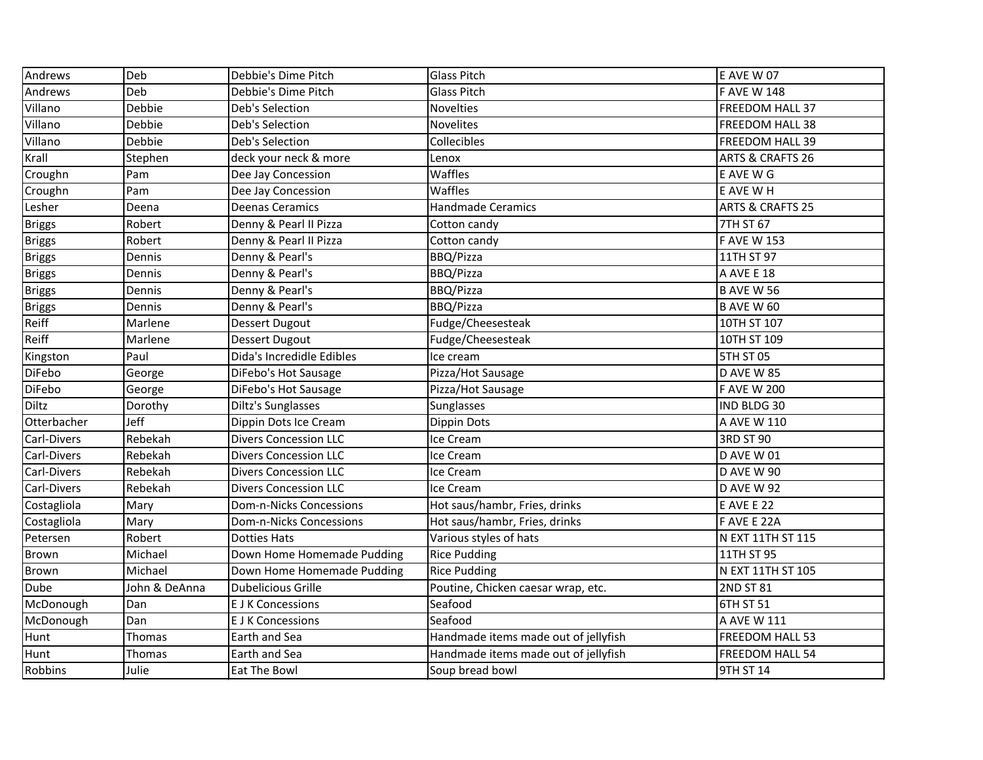| Andrews       | Deb           | Debbie's Dime Pitch          | <b>Glass Pitch</b>                   | <b>E AVE W 07</b>  |
|---------------|---------------|------------------------------|--------------------------------------|--------------------|
| Andrews       | Deb           | Debbie's Dime Pitch          | <b>Glass Pitch</b>                   | <b>FAVE W 148</b>  |
| Villano       | Debbie        | Deb's Selection              | <b>Novelties</b>                     | FREEDOM HALL 37    |
| Villano       | Debbie        | Deb's Selection              | <b>Novelites</b>                     | FREEDOM HALL 38    |
| Villano       | Debbie        | Deb's Selection              | Collecibles                          | FREEDOM HALL 39    |
| Krall         | Stephen       | deck your neck & more        | Lenox                                | ARTS & CRAFTS 26   |
| Croughn       | Pam           | Dee Jay Concession           | Waffles                              | E AVE W G          |
| Croughn       | Pam           | Dee Jay Concession           | Waffles                              | E AVE WH           |
| Lesher        | Deena         | <b>Deenas Ceramics</b>       | <b>Handmade Ceramics</b>             | ARTS & CRAFTS 25   |
| <b>Briggs</b> | Robert        | Denny & Pearl II Pizza       | Cotton candy                         | 7TH ST 67          |
| <b>Briggs</b> | Robert        | Denny & Pearl II Pizza       | Cotton candy                         | <b>F AVE W 153</b> |
| <b>Briggs</b> | Dennis        | Denny & Pearl's              | BBQ/Pizza                            | 11TH ST 97         |
| <b>Briggs</b> | Dennis        | Denny & Pearl's              | BBQ/Pizza                            | A AVE E 18         |
| <b>Briggs</b> | Dennis        | Denny & Pearl's              | BBQ/Pizza                            | <b>B AVE W 56</b>  |
| <b>Briggs</b> | Dennis        | Denny & Pearl's              | BBQ/Pizza                            | <b>B AVE W 60</b>  |
| Reiff         | Marlene       | <b>Dessert Dugout</b>        | Fudge/Cheesesteak                    | 10TH ST 107        |
| Reiff         | Marlene       | <b>Dessert Dugout</b>        | Fudge/Cheesesteak                    | 10TH ST 109        |
| Kingston      | Paul          | Dida's Incredidle Edibles    | Ice cream                            | 5TH ST 05          |
| <b>DiFebo</b> | George        | DiFebo's Hot Sausage         | Pizza/Hot Sausage                    | <b>D AVE W 85</b>  |
| DiFebo        | George        | DiFebo's Hot Sausage         | Pizza/Hot Sausage                    | <b>F AVE W 200</b> |
| <b>Diltz</b>  | Dorothy       | <b>Diltz's Sunglasses</b>    | Sunglasses                           | IND BLDG 30        |
| Otterbacher   | Jeff          | Dippin Dots Ice Cream        | Dippin Dots                          | A AVE W 110        |
| Carl-Divers   | Rebekah       | <b>Divers Concession LLC</b> | Ice Cream                            | 3RD ST 90          |
| Carl-Divers   | Rebekah       | <b>Divers Concession LLC</b> | Ice Cream                            | D AVE W 01         |
| Carl-Divers   | Rebekah       | <b>Divers Concession LLC</b> | Ice Cream                            | <b>D AVE W 90</b>  |
| Carl-Divers   | Rebekah       | <b>Divers Concession LLC</b> | Ice Cream                            | <b>D AVE W 92</b>  |
| Costagliola   | Mary          | Dom-n-Nicks Concessions      | Hot saus/hambr, Fries, drinks        | <b>E AVE E 22</b>  |
| Costagliola   | Mary          | Dom-n-Nicks Concessions      | Hot saus/hambr, Fries, drinks        | F AVE E 22A        |
| Petersen      | Robert        | <b>Dotties Hats</b>          | Various styles of hats               | N EXT 11TH ST 115  |
| Brown         | Michael       | Down Home Homemade Pudding   | <b>Rice Pudding</b>                  | 11TH ST 95         |
| <b>Brown</b>  | Michael       | Down Home Homemade Pudding   | <b>Rice Pudding</b>                  | N EXT 11TH ST 105  |
| Dube          | John & DeAnna | <b>Dubelicious Grille</b>    | Poutine, Chicken caesar wrap, etc.   | 2ND ST 81          |
| McDonough     | Dan           | <b>E J K Concessions</b>     | Seafood                              | 6TH ST 51          |
| McDonough     | Dan           | <b>E J K Concessions</b>     | Seafood                              | A AVE W 111        |
| Hunt          | Thomas        | Earth and Sea                | Handmade items made out of jellyfish | FREEDOM HALL 53    |
| Hunt          | Thomas        | Earth and Sea                | Handmade items made out of jellyfish | FREEDOM HALL 54    |
| Robbins       | Julie         | Eat The Bowl                 | Soup bread bowl                      | 9TH ST 14          |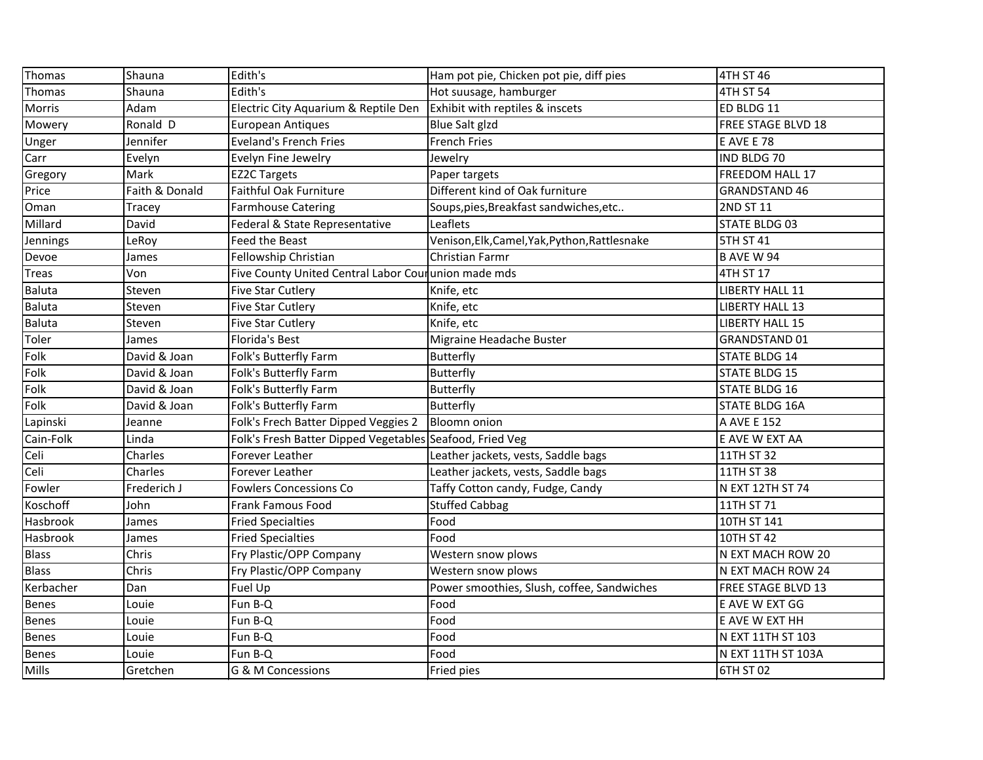| Thomas        | Shauna         | Edith's                                                  | Ham pot pie, Chicken pot pie, diff pies       | 4TH ST 46                 |
|---------------|----------------|----------------------------------------------------------|-----------------------------------------------|---------------------------|
| Thomas        | Shauna         | Edith's                                                  | Hot suusage, hamburger                        | 4TH ST 54                 |
| Morris        | Adam           | Electric City Aquarium & Reptile Den                     | Exhibit with reptiles & inscets               | ED BLDG 11                |
| Mowery        | Ronald D       | <b>European Antiques</b>                                 | Blue Salt glzd                                | FREE STAGE BLVD 18        |
| Unger         | Jennifer       | <b>Eveland's French Fries</b>                            | <b>French Fries</b>                           | <b>E AVE E 78</b>         |
| Carr          | Evelyn         | Evelyn Fine Jewelry                                      | Jewelry                                       | IND BLDG 70               |
| Gregory       | Mark           | <b>EZ2C Targets</b>                                      | Paper targets                                 | FREEDOM HALL 17           |
| Price         | Faith & Donald | Faithful Oak Furniture                                   | Different kind of Oak furniture               | <b>GRANDSTAND 46</b>      |
| Oman          | Tracey         | <b>Farmhouse Catering</b>                                | Soups, pies, Breakfast sandwiches, etc        | 2ND ST 11                 |
| Millard       | David          | Federal & State Representative                           | Leaflets                                      | STATE BLDG 03             |
| Jennings      | LeRoy          | <b>Feed the Beast</b>                                    | Venison, Elk, Camel, Yak, Python, Rattlesnake | <b>5TH ST 41</b>          |
| Devoe         | James          | Fellowship Christian                                     | Christian Farmr                               | <b>B AVE W 94</b>         |
| Treas         | Von            | Five County United Central Labor Courunion made mds      |                                               | 4TH ST 17                 |
| Baluta        | Steven         | Five Star Cutlery                                        | Knife, etc                                    | <b>LIBERTY HALL 11</b>    |
| <b>Baluta</b> | Steven         | <b>Five Star Cutlery</b>                                 | Knife, etc                                    | <b>LIBERTY HALL 13</b>    |
| Baluta        | Steven         | <b>Five Star Cutlery</b>                                 | Knife, etc                                    | <b>LIBERTY HALL 15</b>    |
| Toler         | James          | <b>Florida's Best</b>                                    | Migraine Headache Buster                      | <b>GRANDSTAND 01</b>      |
| Folk          | David & Joan   | Folk's Butterfly Farm                                    | <b>Butterfly</b>                              | <b>STATE BLDG 14</b>      |
| Folk          | David & Joan   | Folk's Butterfly Farm                                    | Butterfly                                     | <b>STATE BLDG 15</b>      |
| Folk          | David & Joan   | Folk's Butterfly Farm                                    | Butterfly                                     | <b>STATE BLDG 16</b>      |
| Folk          | David & Joan   | Folk's Butterfly Farm                                    | <b>Butterfly</b>                              | <b>STATE BLDG 16A</b>     |
| Lapinski      | Jeanne         | Folk's Frech Batter Dipped Veggies 2                     | <b>Bloomn</b> onion                           | A AVE E 152               |
| Cain-Folk     | Linda          | Folk's Fresh Batter Dipped Vegetables Seafood, Fried Veg |                                               | E AVE W EXT AA            |
| Celi          | Charles        | Forever Leather                                          | Leather jackets, vests, Saddle bags           | 11TH ST 32                |
| Celi          | Charles        | Forever Leather                                          | Leather jackets, vests, Saddle bags           | 11TH ST 38                |
| Fowler        | Frederich J    | <b>Fowlers Concessions Co</b>                            | Taffy Cotton candy, Fudge, Candy              | N EXT 12TH ST 74          |
| Koschoff      | John           | Frank Famous Food                                        | <b>Stuffed Cabbag</b>                         | 11TH ST 71                |
| Hasbrook      | James          | <b>Fried Specialties</b>                                 | Food                                          | 10TH ST 141               |
| Hasbrook      | James          | <b>Fried Specialties</b>                                 | Food                                          | 10TH ST 42                |
| <b>Blass</b>  | Chris          | Fry Plastic/OPP Company                                  | Western snow plows                            | N EXT MACH ROW 20         |
| Blass         | Chris          | Fry Plastic/OPP Company                                  | Western snow plows                            | N EXT MACH ROW 24         |
| Kerbacher     | Dan            | [Fuel Up                                                 | Power smoothies, Slush, coffee, Sandwiches    | <b>FREE STAGE BLVD 13</b> |
| Benes         | Louie          | Fun B-Q                                                  | Food                                          | E AVE W EXT GG            |
| <b>Benes</b>  | Louie          | Fun B-Q                                                  | Food                                          | E AVE W EXT HH            |
| Benes         | Louie          | Fun B-Q                                                  | Food                                          | N EXT 11TH ST 103         |
| Benes         | Louie          | Fun B-Q                                                  | Food                                          | N EXT 11TH ST 103A        |
| Mills         | Gretchen       | G & M Concessions                                        | Fried pies                                    | 6TH ST 02                 |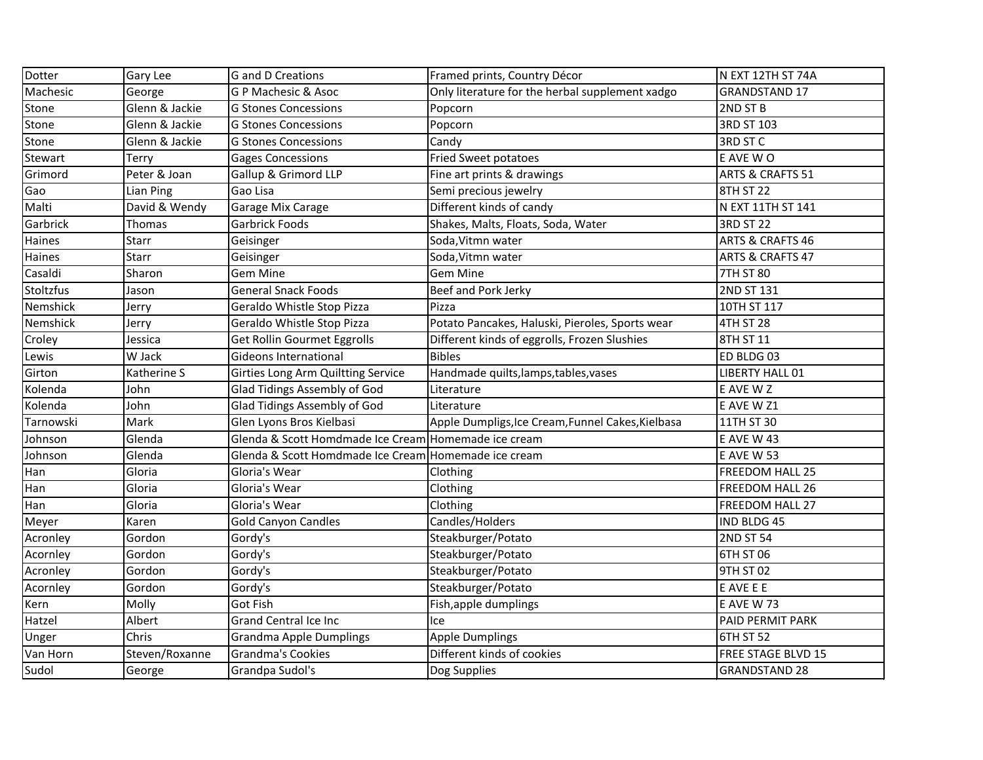| Dotter    | Gary Lee       | G and D Creations                                    | Framed prints, Country Décor                      | N EXT 12TH ST 74A           |
|-----------|----------------|------------------------------------------------------|---------------------------------------------------|-----------------------------|
| Machesic  | George         | <b>GP Machesic &amp; Asoc</b>                        | Only literature for the herbal supplement xadgo   | <b>GRANDSTAND 17</b>        |
| Stone     | Glenn & Jackie | <b>G Stones Concessions</b>                          | Popcorn                                           | 2ND ST B                    |
| Stone     | Glenn & Jackie | <b>G Stones Concessions</b>                          | Popcorn                                           | 3RD ST 103                  |
| Stone     | Glenn & Jackie | <b>G Stones Concessions</b>                          | Candy                                             | <b>3RD ST C</b>             |
| Stewart   | Terry          | <b>Gages Concessions</b>                             | <b>Fried Sweet potatoes</b>                       | E AVE WO                    |
| Grimord   | Peter & Joan   | Gallup & Grimord LLP                                 | Fine art prints & drawings                        | ARTS & CRAFTS 51            |
| Gao       | Lian Ping      | Gao Lisa                                             | Semi precious jewelry                             | 8TH ST 22                   |
| Malti     | David & Wendy  | Garage Mix Carage                                    | Different kinds of candy                          | N EXT 11TH ST 141           |
| Garbrick  | Thomas         | <b>Garbrick Foods</b>                                | Shakes, Malts, Floats, Soda, Water                | <b>3RD ST 22</b>            |
| Haines    | <b>Starr</b>   | Geisinger                                            | Soda, Vitmn water                                 | <b>ARTS &amp; CRAFTS 46</b> |
| Haines    | Starr          | Geisinger                                            | Soda, Vitmn water                                 | <b>ARTS &amp; CRAFTS 47</b> |
| Casaldi   | Sharon         | <b>Gem Mine</b>                                      | <b>Gem Mine</b>                                   | <b>7TH ST 80</b>            |
| Stoltzfus | Jason          | <b>General Snack Foods</b>                           | Beef and Pork Jerky                               | 2ND ST 131                  |
| Nemshick  | Jerry          | Geraldo Whistle Stop Pizza                           | Pizza                                             | 10TH ST 117                 |
| Nemshick  | Jerry          | Geraldo Whistle Stop Pizza                           | Potato Pancakes, Haluski, Pieroles, Sports wear   | <b>4TH ST 28</b>            |
| Croley    | Jessica        | <b>Get Rollin Gourmet Eggrolls</b>                   | Different kinds of eggrolls, Frozen Slushies      | 8TH ST 11                   |
| Lewis     | W Jack         | Gideons International                                | <b>Bibles</b>                                     | ED BLDG 03                  |
| Girton    | Katherine S    | Girties Long Arm Quiltting Service                   | Handmade quilts, lamps, tables, vases             | <b>LIBERTY HALL 01</b>      |
| Kolenda   | John           | Glad Tidings Assembly of God                         | Literature                                        | E AVE W Z                   |
| Kolenda   | John           | Glad Tidings Assembly of God                         | Literature                                        | E AVE W Z1                  |
| Tarnowski | Mark           | Glen Lyons Bros Kielbasi                             | Apple Dumpligs, Ice Cream, Funnel Cakes, Kielbasa | 11TH ST 30                  |
| Johnson   | Glenda         | Glenda & Scott Homdmade Ice Cream Homemade ice cream |                                                   | <b>E AVE W 43</b>           |
| Johnson   | Glenda         | Glenda & Scott Homdmade Ice Cream Homemade ice cream |                                                   | <b>E AVE W 53</b>           |
| Han       | Gloria         | Gloria's Wear                                        | Clothing                                          | <b>FREEDOM HALL 25</b>      |
| Han       | Gloria         | Gloria's Wear                                        | Clothing                                          | <b>FREEDOM HALL 26</b>      |
| Han       | Gloria         | Gloria's Wear                                        | Clothing                                          | FREEDOM HALL 27             |
| Meyer     | Karen          | <b>Gold Canyon Candles</b>                           | Candles/Holders                                   | IND BLDG 45                 |
| Acronley  | Gordon         | Gordy's                                              | Steakburger/Potato                                | 2ND ST 54                   |
| Acornley  | Gordon         | Gordy's                                              | Steakburger/Potato                                | 6TH ST 06                   |
| Acronley  | Gordon         | Gordy's                                              | Steakburger/Potato                                | 9TH ST 02                   |
| Acorniey  | Gordon         | Gordy's                                              | Steakburger/Potato                                | E AVE E E                   |
| Kern      | Molly          | <b>Got Fish</b>                                      | Fish, apple dumplings                             | E AVE W 73                  |
| Hatzel    | Albert         | <b>Grand Central Ice Inc</b>                         | Ice                                               | PAID PERMIT PARK            |
| Unger     | Chris          | <b>Grandma Apple Dumplings</b>                       | <b>Apple Dumplings</b>                            | 6TH ST 52                   |
| Van Horn  | Steven/Roxanne | Grandma's Cookies                                    | Different kinds of cookies                        | FREE STAGE BLVD 15          |
| Sudol     | George         | Grandpa Sudol's                                      | Dog Supplies                                      | <b>GRANDSTAND 28</b>        |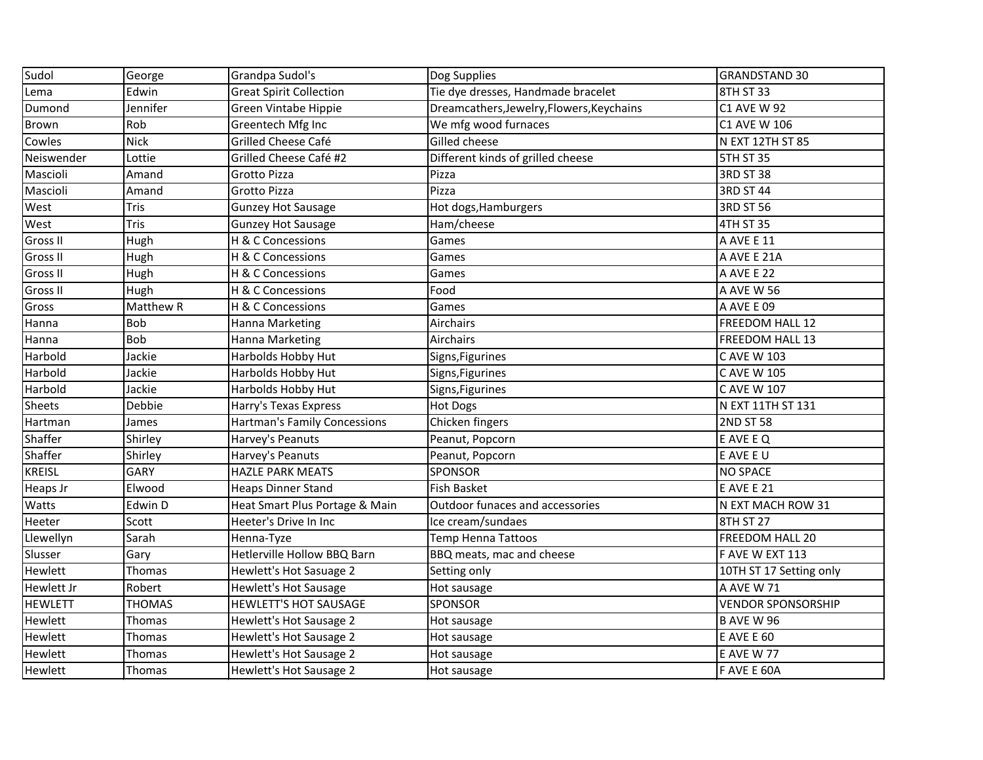| Sudol          | George        | Grandpa Sudol's                     | Dog Supplies                              | <b>GRANDSTAND 30</b>      |
|----------------|---------------|-------------------------------------|-------------------------------------------|---------------------------|
| Lema           | Edwin         | <b>Great Spirit Collection</b>      | Tie dye dresses, Handmade bracelet        | 8TH ST 33                 |
| Dumond         | Jennifer      | Green Vintabe Hippie                | Dreamcathers, Jewelry, Flowers, Keychains | <b>C1 AVE W 92</b>        |
| Brown          | Rob           | Greentech Mfg Inc                   | We mfg wood furnaces                      | C1 AVE W 106              |
| Cowles         | <b>Nick</b>   | Grilled Cheese Café                 | Gilled cheese                             | <b>N EXT 12TH ST 85</b>   |
| Neiswender     | Lottie        | Grilled Cheese Café #2              | Different kinds of grilled cheese         | <b>5TH ST 35</b>          |
| Mascioli       | Amand         | Grotto Pizza                        | Pizza                                     | <b>3RD ST 38</b>          |
| Mascioli       | Amand         | Grotto Pizza                        | Pizza                                     | 3RD ST 44                 |
| West           | Tris          | <b>Gunzey Hot Sausage</b>           | Hot dogs, Hamburgers                      | 3RD ST 56                 |
| West           | Tris          | <b>Gunzey Hot Sausage</b>           | Ham/cheese                                | 4TH ST 35                 |
| Gross II       | Hugh          | H & C Concessions                   | Games                                     | A AVE E 11                |
| Gross II       | Hugh          | H & C Concessions                   | Games                                     | A AVE E 21A               |
| Gross II       | Hugh          | H & C Concessions                   | Games                                     | A AVE E 22                |
| Gross II       | Hugh          | H & C Concessions                   | Food                                      | A AVE W 56                |
| Gross          | Matthew R     | H & C Concessions                   | Games                                     | A AVE E 09                |
| Hanna          | Bob           | Hanna Marketing                     | Airchairs                                 | FREEDOM HALL 12           |
| Hanna          | Bob           | Hanna Marketing                     | Airchairs                                 | FREEDOM HALL 13           |
| Harbold        | Jackie        | Harbolds Hobby Hut                  | Signs, Figurines                          | C AVE W 103               |
| Harbold        | Jackie        | Harbolds Hobby Hut                  | Signs, Figurines                          | <b>CAVE W 105</b>         |
| Harbold        | Jackie        | Harbolds Hobby Hut                  | Signs, Figurines                          | C AVE W 107               |
| Sheets         | Debbie        | Harry's Texas Express               | <b>Hot Dogs</b>                           | N EXT 11TH ST 131         |
| Hartman        | James         | <b>Hartman's Family Concessions</b> | Chicken fingers                           | <b>2ND ST 58</b>          |
| Shaffer        | Shirley       | Harvey's Peanuts                    | Peanut, Popcorn                           | E AVE E Q                 |
| Shaffer        | Shirley       | Harvey's Peanuts                    | Peanut, Popcorn                           | E AVE E U                 |
| <b>KREISL</b>  | <b>GARY</b>   | <b>HAZLE PARK MEATS</b>             | <b>SPONSOR</b>                            | <b>NO SPACE</b>           |
| Heaps Jr       | Elwood        | <b>Heaps Dinner Stand</b>           | <b>Fish Basket</b>                        | E AVE E 21                |
| Watts          | Edwin D       | Heat Smart Plus Portage & Main      | Outdoor funaces and accessories           | N EXT MACH ROW 31         |
| Heeter         | Scott         | Heeter's Drive In Inc               | Ice cream/sundaes                         | 8TH ST 27                 |
| Llewellyn      | Sarah         | Henna-Tyze                          | <b>Temp Henna Tattoos</b>                 | FREEDOM HALL 20           |
| Slusser        | Gary          | Hetlerville Hollow BBQ Barn         | BBQ meats, mac and cheese                 | F AVE W EXT 113           |
| Hewlett        | Thomas        | Hewlett's Hot Sasuage 2             | Setting only                              | 10TH ST 17 Setting only   |
| Hewlett Jr     | Robert        | Hewlett's Hot Sausage               | Hot sausage                               | JA AVE W 71               |
| <b>HEWLETT</b> | <b>THOMAS</b> | HEWLETT'S HOT SAUSAGE               | <b>SPONSOR</b>                            | <b>VENDOR SPONSORSHIP</b> |
| Hewlett        | Thomas        | Hewlett's Hot Sausage 2             | Hot sausage                               | <b>B AVE W 96</b>         |
| Hewlett        | Thomas        | Hewlett's Hot Sausage 2             | Hot sausage                               | <b>E AVE E 60</b>         |
| Hewlett        | Thomas        | Hewlett's Hot Sausage 2             | Hot sausage                               | <b>E AVE W 77</b>         |
| Hewlett        | Thomas        | Hewlett's Hot Sausage 2             | Hot sausage                               | F AVE E 60A               |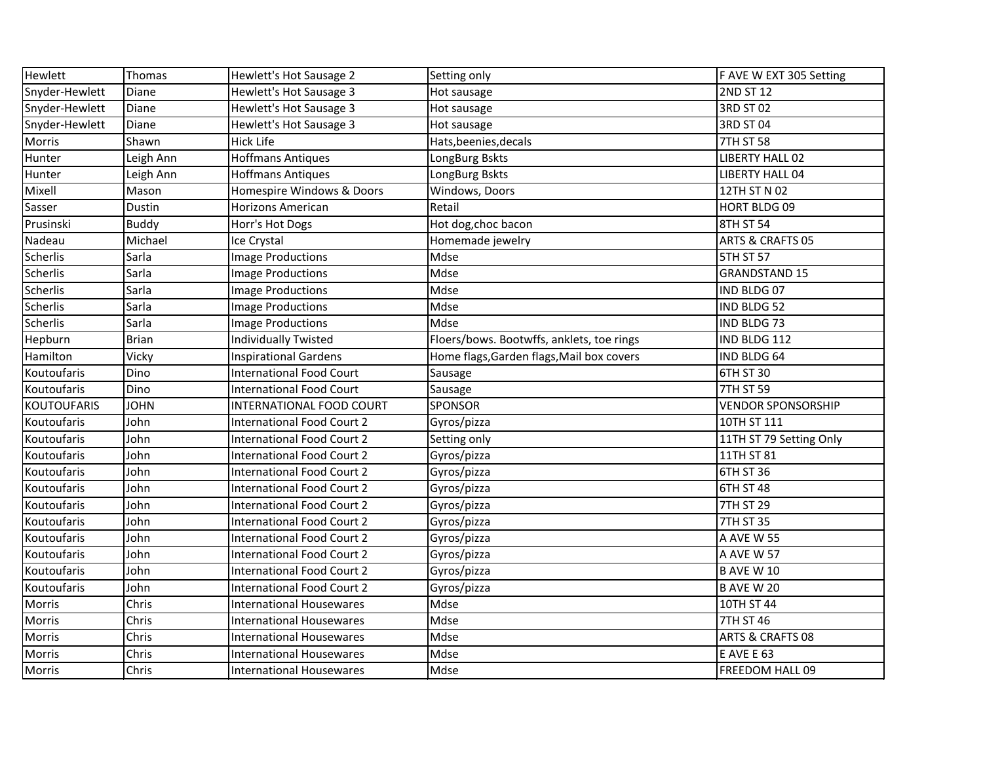| Hewlett            | Thomas       | Hewlett's Hot Sausage 2           | Setting only                              | F AVE W EXT 305 Setting     |
|--------------------|--------------|-----------------------------------|-------------------------------------------|-----------------------------|
| Snyder-Hewlett     | Diane        | Hewlett's Hot Sausage 3           | Hot sausage                               | 2ND ST 12                   |
| Snyder-Hewlett     | Diane        | Hewlett's Hot Sausage 3           | Hot sausage                               | 3RD ST 02                   |
| Snyder-Hewlett     | Diane        | Hewlett's Hot Sausage 3           | Hot sausage                               | 3RD ST 04                   |
| Morris             | Shawn        | <b>Hick Life</b>                  | Hats, beenies, decals                     | <b>7TH ST 58</b>            |
| Hunter             | Leigh Ann    | <b>Hoffmans Antiques</b>          | LongBurg Bskts                            | <b>LIBERTY HALL 02</b>      |
| Hunter             | Leigh Ann    | <b>Hoffmans Antiques</b>          | LongBurg Bskts                            | <b>LIBERTY HALL 04</b>      |
| Mixell             | Mason        | Homespire Windows & Doors         | Windows, Doors                            | 12TH ST N 02                |
| Sasser             | Dustin       | <b>Horizons American</b>          | Retail                                    | <b>HORT BLDG 09</b>         |
| Prusinski          | <b>Buddy</b> | Horr's Hot Dogs                   | Hot dog, choc bacon                       | 8TH ST 54                   |
| Nadeau             | Michael      | Ice Crystal                       | Homemade jewelry                          | <b>ARTS &amp; CRAFTS 05</b> |
| Scherlis           | Sarla        | Image Productions                 | Mdse                                      | <b>5TH ST 57</b>            |
| Scherlis           | Sarla        | Image Productions                 | Mdse                                      | <b>GRANDSTAND 15</b>        |
| <b>Scherlis</b>    | Sarla        | <b>Image Productions</b>          | Mdse                                      | IND BLDG 07                 |
| Scherlis           | Sarla        | Image Productions                 | Mdse                                      | IND BLDG 52                 |
| Scherlis           | Sarla        | <b>Image Productions</b>          | Mdse                                      | IND BLDG 73                 |
| Hepburn            | <b>Brian</b> | <b>Individually Twisted</b>       | Floers/bows. Bootwffs, anklets, toe rings | IND BLDG 112                |
| Hamilton           | Vicky        | <b>Inspirational Gardens</b>      | Home flags, Garden flags, Mail box covers | IND BLDG 64                 |
| Koutoufaris        | Dino         | <b>International Food Court</b>   | Sausage                                   | 6TH ST 30                   |
| Koutoufaris        | Dino         | <b>International Food Court</b>   | Sausage                                   | <b>7TH ST 59</b>            |
| <b>KOUTOUFARIS</b> | <b>JOHN</b>  | INTERNATIONAL FOOD COURT          | SPONSOR                                   | <b>VENDOR SPONSORSHIP</b>   |
| Koutoufaris        | John         | <b>International Food Court 2</b> | Gyros/pizza                               | 10TH ST 111                 |
| Koutoufaris        | John         | <b>International Food Court 2</b> | Setting only                              | 11TH ST 79 Setting Only     |
| Koutoufaris        | John         | <b>International Food Court 2</b> | Gyros/pizza                               | 11TH ST 81                  |
| Koutoufaris        | John         | <b>International Food Court 2</b> | Gyros/pizza                               | 6TH ST 36                   |
| Koutoufaris        | John         | <b>International Food Court 2</b> | Gyros/pizza                               | 6TH ST 48                   |
| Koutoufaris        | John         | <b>International Food Court 2</b> | Gyros/pizza                               | 7TH ST 29                   |
| Koutoufaris        | John         | <b>International Food Court 2</b> | Gyros/pizza                               | <b>7TH ST 35</b>            |
| Koutoufaris        | John         | <b>International Food Court 2</b> | Gyros/pizza                               | <b>A AVE W 55</b>           |
| Koutoufaris        | John         | <b>International Food Court 2</b> | Gyros/pizza                               | A AVE W 57                  |
| Koutoufaris        | John         | <b>International Food Court 2</b> | Gyros/pizza                               | <b>B AVE W 10</b>           |
| Koutoufaris        | John         | International Food Court 2        | Gyros/pizza                               | IB AVE W 20                 |
| Morris             | Chris        | <b>International Housewares</b>   | Mdse                                      | 10TH ST 44                  |
| Morris             | Chris        | <b>International Housewares</b>   | Mdse                                      | 7TH ST 46                   |
| <b>Morris</b>      | Chris        | <b>International Housewares</b>   | Mdse                                      | <b>ARTS &amp; CRAFTS 08</b> |
| Morris             | Chris        | <b>International Housewares</b>   | Mdse                                      | <b>E AVE E 63</b>           |
| <b>Morris</b>      | Chris        | <b>International Housewares</b>   | Mdse                                      | <b>FREEDOM HALL 09</b>      |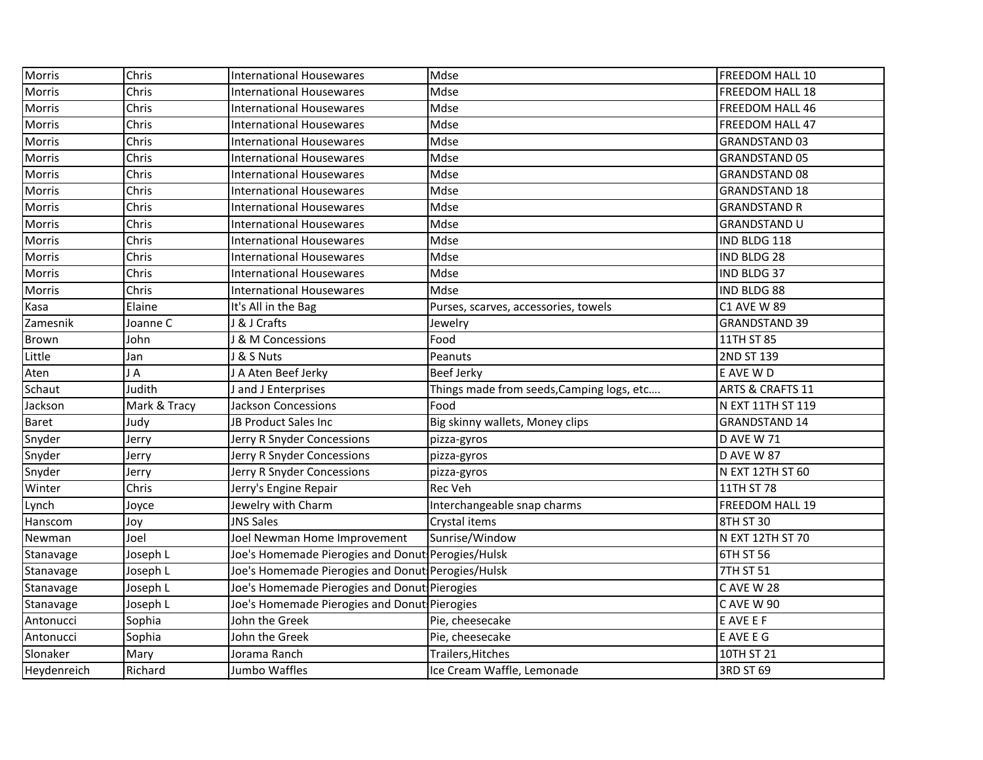| Morris        | Chris        | <b>International Housewares</b>                   | Mdse                                      | FREEDOM HALL 10             |
|---------------|--------------|---------------------------------------------------|-------------------------------------------|-----------------------------|
| <b>Morris</b> | Chris        | <b>International Housewares</b>                   | Mdse                                      | <b>FREEDOM HALL 18</b>      |
| Morris        | Chris        | <b>International Housewares</b>                   | Mdse                                      | <b>FREEDOM HALL 46</b>      |
| Morris        | Chris        | <b>International Housewares</b>                   | Mdse                                      | <b>FREEDOM HALL 47</b>      |
| <b>Morris</b> | Chris        | <b>International Housewares</b>                   | Mdse                                      | <b>GRANDSTAND 03</b>        |
| <b>Morris</b> | Chris        | <b>International Housewares</b>                   | Mdse                                      | <b>GRANDSTAND 05</b>        |
| Morris        | Chris        | <b>International Housewares</b>                   | Mdse                                      | <b>GRANDSTAND 08</b>        |
| <b>Morris</b> | Chris        | <b>International Housewares</b>                   | Mdse                                      | <b>GRANDSTAND 18</b>        |
| <b>Morris</b> | Chris        | <b>International Housewares</b>                   | Mdse                                      | <b>GRANDSTAND R</b>         |
| <b>Morris</b> | Chris        | <b>International Housewares</b>                   | Mdse                                      | <b>GRANDSTAND U</b>         |
| <b>Morris</b> | Chris        | <b>International Housewares</b>                   | Mdse                                      | IND BLDG 118                |
| Morris        | Chris        | <b>International Housewares</b>                   | Mdse                                      | IND BLDG 28                 |
| Morris        | Chris        | <b>International Housewares</b>                   | Mdse                                      | IND BLDG 37                 |
| Morris        | Chris        | <b>International Housewares</b>                   | Mdse                                      | <b>IND BLDG 88</b>          |
| Kasa          | Elaine       | It's All in the Bag                               | Purses, scarves, accessories, towels      | <b>C1 AVE W 89</b>          |
| Zamesnik      | Joanne C     | & J Crafts                                        | Jewelry                                   | <b>GRANDSTAND 39</b>        |
| Brown         | John         | & M Concessions                                   | Food                                      | 11TH ST 85                  |
| Little        | Jan          | & S Nuts                                          | Peanuts                                   | 2ND ST 139                  |
| Aten          | JA           | J A Aten Beef Jerky                               | <b>Beef Jerky</b>                         | E AVE W D                   |
| Schaut        | Judith       | J and J Enterprises                               | Things made from seeds, Camping logs, etc | <b>ARTS &amp; CRAFTS 11</b> |
| Jackson       | Mark & Tracy | Jackson Concessions                               | Food                                      | N EXT 11TH ST 119           |
| <b>Baret</b>  | Judy         | JB Product Sales Inc                              | Big skinny wallets, Money clips           | <b>GRANDSTAND 14</b>        |
| Snyder        | Jerry        | Jerry R Snyder Concessions                        | pizza-gyros                               | <b>D AVE W 71</b>           |
| Snyder        | Jerry        | Jerry R Snyder Concessions                        | pizza-gyros                               | <b>D AVE W 87</b>           |
| Snyder        | Jerry        | Jerry R Snyder Concessions                        | pizza-gyros                               | N EXT 12TH ST 60            |
| Winter        | Chris        | Jerry's Engine Repair                             | <b>Rec Veh</b>                            | 11TH ST 78                  |
| Lynch         | Joyce        | Jewelry with Charm                                | Interchangeable snap charms               | <b>FREEDOM HALL 19</b>      |
| Hanscom       | Joy          | <b>JNS Sales</b>                                  | Crystal items                             | 8TH ST 30                   |
| Newman        | Joel         | Joel Newman Home Improvement                      | Sunrise/Window                            | N EXT 12TH ST 70            |
| Stanavage     | Joseph L     | Joe's Homemade Pierogies and Donut Perogies/Hulsk |                                           | 6TH ST 56                   |
| Stanavage     | Joseph L     | Joe's Homemade Pierogies and Donut Perogies/Hulsk |                                           | 7TH ST 51                   |
| Stanavage     | Joseph L     | Joe's Homemade Pierogies and Donut Pierogies      |                                           | C AVE W 28                  |
| Stanavage     | Joseph L     | Joe's Homemade Pierogies and Donut Pierogies      |                                           | C AVE W 90                  |
| Antonucci     | Sophia       | John the Greek                                    | Pie, cheesecake                           | E AVE E F                   |
| Antonucci     | Sophia       | John the Greek                                    | Pie, cheesecake                           | E AVE E G                   |
| Slonaker      | Mary         | Jorama Ranch                                      | Trailers, Hitches                         | 10TH ST 21                  |
| Heydenreich   | Richard      | Jumbo Waffles                                     | Ice Cream Waffle, Lemonade                | 3RD ST 69                   |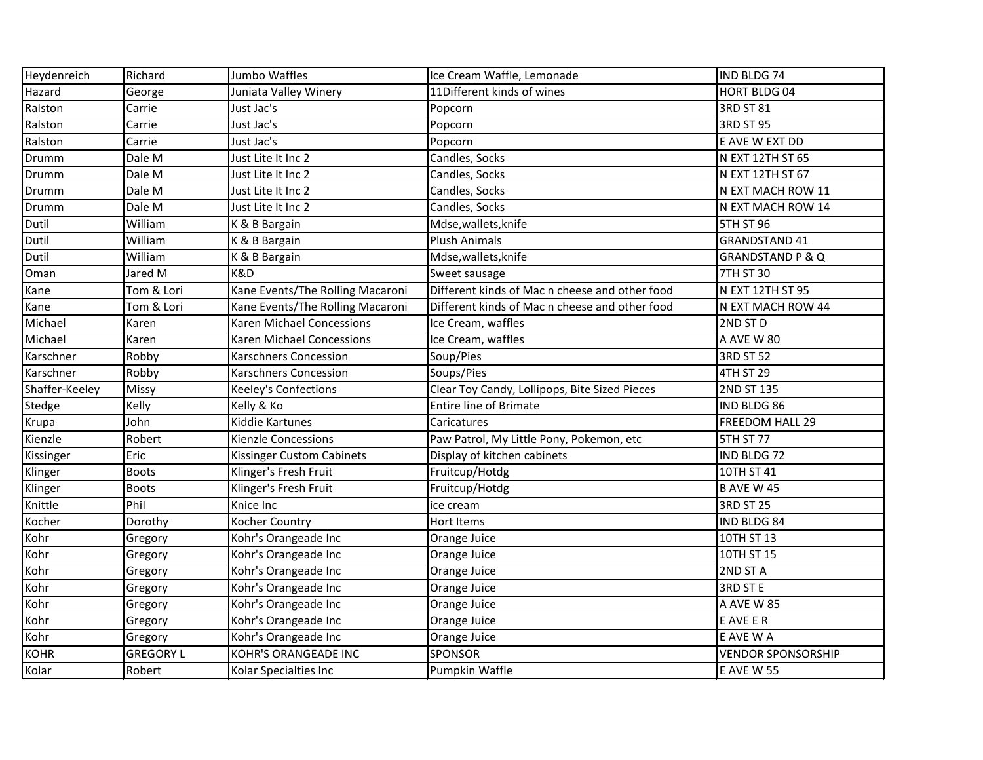| Heydenreich    | Richard          | Jumbo Waffles                    | Ice Cream Waffle, Lemonade                     | IND BLDG 74                 |
|----------------|------------------|----------------------------------|------------------------------------------------|-----------------------------|
| Hazard         | George           | Juniata Valley Winery            | 11Different kinds of wines                     | HORT BLDG 04                |
| Ralston        | Carrie           | Just Jac's                       | Popcorn                                        | 3RD ST 81                   |
| Ralston        | Carrie           | Just Jac's                       | Popcorn                                        | 3RD ST 95                   |
| Ralston        | Carrie           | Just Jac's                       | Popcorn                                        | E AVE W EXT DD              |
| Drumm          | Dale M           | Just Lite It Inc 2               | Candles, Socks                                 | N EXT 12TH ST 65            |
| Drumm          | Dale M           | Just Lite It Inc 2               | Candles, Socks                                 | N EXT 12TH ST 67            |
| Drumm          | Dale M           | Just Lite It Inc 2               | Candles, Socks                                 | N EXT MACH ROW 11           |
| Drumm          | Dale M           | Just Lite It Inc 2               | Candles, Socks                                 | N EXT MACH ROW 14           |
| Dutil          | William          | K & B Bargain                    | Mdse, wallets, knife                           | <b>5TH ST 96</b>            |
| Dutil          | William          | K & B Bargain                    | <b>Plush Animals</b>                           | <b>GRANDSTAND 41</b>        |
| Dutil          | William          | K & B Bargain                    | Mdse, wallets, knife                           | <b>GRANDSTAND P &amp; Q</b> |
| Oman           | Jared M          | K&D                              | Sweet sausage                                  | <b>7TH ST 30</b>            |
| Kane           | Tom & Lori       | Kane Events/The Rolling Macaroni | Different kinds of Mac n cheese and other food | N EXT 12TH ST 95            |
| Kane           | Tom & Lori       | Kane Events/The Rolling Macaroni | Different kinds of Mac n cheese and other food | N EXT MACH ROW 44           |
| Michael        | Karen            | Karen Michael Concessions        | Ice Cream, waffles                             | 2ND ST D                    |
| Michael        | Karen            | Karen Michael Concessions        | Ice Cream, waffles                             | A AVE W 80                  |
| Karschner      | Robby            | <b>Karschners Concession</b>     | Soup/Pies                                      | <b>3RD ST 52</b>            |
| Karschner      | Robby            | <b>Karschners Concession</b>     | Soups/Pies                                     | 4TH ST 29                   |
| Shaffer-Keeley | <b>Missy</b>     | Keeley's Confections             | Clear Toy Candy, Lollipops, Bite Sized Pieces  | 2ND ST 135                  |
| <b>Stedge</b>  | Kelly            | Kelly & Ko                       | <b>Entire line of Brimate</b>                  | <b>IND BLDG 86</b>          |
| Krupa          | John             | Kiddie Kartunes                  | Caricatures                                    | FREEDOM HALL 29             |
| Kienzle        | Robert           | <b>Kienzle Concessions</b>       | Paw Patrol, My Little Pony, Pokemon, etc       | <b>5TH ST 77</b>            |
| Kissinger      | Eric             | Kissinger Custom Cabinets        | Display of kitchen cabinets                    | IND BLDG 72                 |
| Klinger        | <b>Boots</b>     | Klinger's Fresh Fruit            | Fruitcup/Hotdg                                 | 10TH ST 41                  |
| Klinger        | <b>Boots</b>     | Klinger's Fresh Fruit            | Fruitcup/Hotdg                                 | <b>B AVE W 45</b>           |
| Knittle        | Phil             | Knice Inc                        | ice cream                                      | <b>3RD ST 25</b>            |
| Kocher         | Dorothy          | Kocher Country                   | Hort Items                                     | IND BLDG 84                 |
| Kohr           | Gregory          | Kohr's Orangeade Inc             | Orange Juice                                   | 10TH ST 13                  |
| Kohr           | Gregory          | Kohr's Orangeade Inc             | Orange Juice                                   | 10TH ST 15                  |
| Kohr           | Gregory          | Kohr's Orangeade Inc             | Orange Juice                                   | 2ND ST A                    |
| Kohr           | Gregory          | Kohr's Orangeade Inc             | Orange Juice                                   | 3RD ST E                    |
| Kohr           | Gregory          | Kohr's Orangeade Inc             | Orange Juice                                   | A AVE W 85                  |
| Kohr           | Gregory          | Kohr's Orangeade Inc             | Orange Juice                                   | E AVE E R                   |
| Kohr           | Gregory          | Kohr's Orangeade Inc             | Orange Juice                                   | E AVE W A                   |
| <b>KOHR</b>    | <b>GREGORY L</b> | KOHR'S ORANGEADE INC             | SPONSOR                                        | <b>VENDOR SPONSORSHIP</b>   |
| Kolar          | Robert           | Kolar Specialties Inc            | Pumpkin Waffle                                 | <b>E AVE W 55</b>           |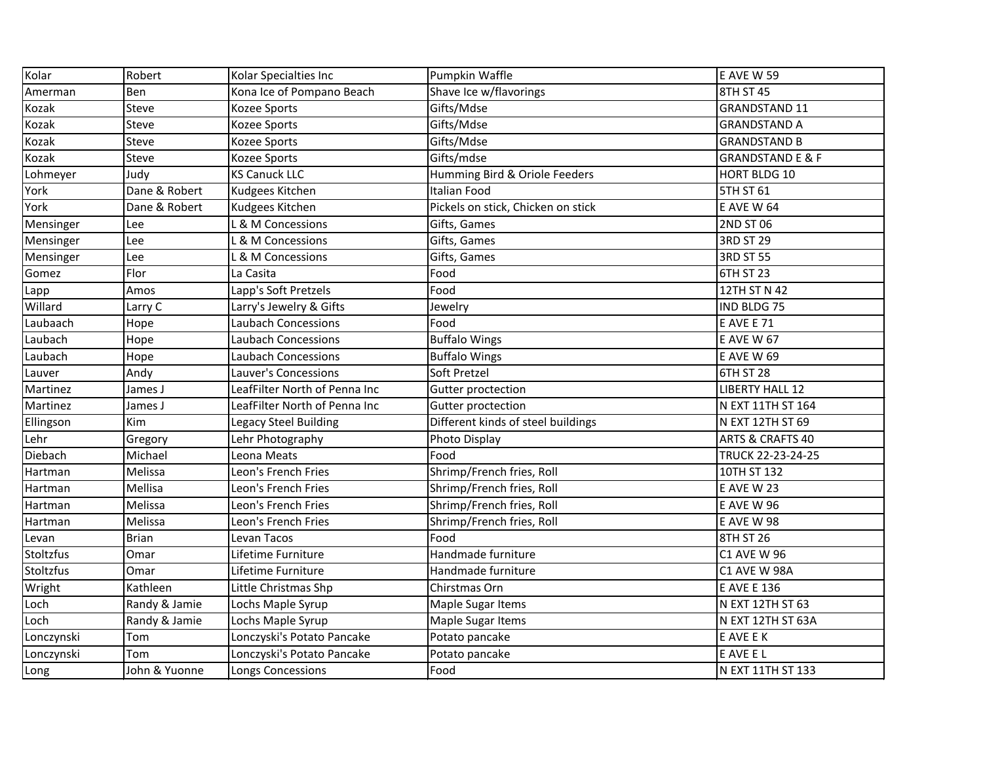| Kolar            | Robert        | Kolar Specialties Inc         | Pumpkin Waffle                     | E AVE W 59                  |
|------------------|---------------|-------------------------------|------------------------------------|-----------------------------|
| Amerman          | Ben           | Kona Ice of Pompano Beach     | Shave Ice w/flavorings             | 8TH ST 45                   |
| Kozak            | <b>Steve</b>  | Kozee Sports                  | Gifts/Mdse                         | <b>GRANDSTAND 11</b>        |
| Kozak            | Steve         | <b>Kozee Sports</b>           | Gifts/Mdse                         | <b>GRANDSTAND A</b>         |
| Kozak            | <b>Steve</b>  | <b>Kozee Sports</b>           | Gifts/Mdse                         | <b>GRANDSTAND B</b>         |
| Kozak            | Steve         | Kozee Sports                  | Gifts/mdse                         | <b>GRANDSTAND E &amp; F</b> |
| Lohmeyer         | Judy          | <b>KS Canuck LLC</b>          | Humming Bird & Oriole Feeders      | HORT BLDG 10                |
| York             | Dane & Robert | Kudgees Kitchen               | <b>Italian Food</b>                | <b>5TH ST 61</b>            |
| York             | Dane & Robert | Kudgees Kitchen               | Pickels on stick, Chicken on stick | <b>E AVE W 64</b>           |
| Mensinger        | Lee           | L & M Concessions             | Gifts, Games                       | 2ND ST 06                   |
| Mensinger        | Lee           | L & M Concessions             | Gifts, Games                       | 3RD ST 29                   |
| Mensinger        | Lee           | L & M Concessions             | Gifts, Games                       | <b>3RD ST 55</b>            |
| Gomez            | Flor          | La Casita                     | Food                               | 6TH ST 23                   |
| Lapp             | Amos          | Lapp's Soft Pretzels          | Food                               | 12TH ST N 42                |
| Willard          | Larry C       | Larry's Jewelry & Gifts       | Jewelry                            | IND BLDG 75                 |
| Laubaach         | Hope          | <b>Laubach Concessions</b>    | Food                               | <b>E AVE E 71</b>           |
| Laubach          | Hope          | <b>Laubach Concessions</b>    | <b>Buffalo Wings</b>               | <b>E AVE W 67</b>           |
| Laubach          | Hope          | <b>Laubach Concessions</b>    | <b>Buffalo Wings</b>               | <b>E AVE W 69</b>           |
| Lauver           | Andy          | Lauver's Concessions          | Soft Pretzel                       | 6TH ST 28                   |
| Martinez         | James J       | LeafFilter North of Penna Inc | Gutter proctection                 | <b>LIBERTY HALL 12</b>      |
| Martinez         | James J       | LeafFilter North of Penna Inc | Gutter proctection                 | N EXT 11TH ST 164           |
| Ellingson        | Kim           | Legacy Steel Building         | Different kinds of steel buildings | N EXT 12TH ST 69            |
| Lehr             | Gregory       | Lehr Photography              | Photo Display                      | <b>ARTS &amp; CRAFTS 40</b> |
| Diebach          | Michael       | Leona Meats                   | Food                               | TRUCK 22-23-24-25           |
| Hartman          | Melissa       | Leon's French Fries           | Shrimp/French fries, Roll          | 10TH ST 132                 |
| Hartman          | Mellisa       | Leon's French Fries           | Shrimp/French fries, Roll          | <b>E AVE W 23</b>           |
| Hartman          | Melissa       | Leon's French Fries           | Shrimp/French fries, Roll          | <b>E AVE W 96</b>           |
| Hartman          | Melissa       | Leon's French Fries           | Shrimp/French fries, Roll          | <b>E AVE W 98</b>           |
| Levan            | <b>Brian</b>  | Levan Tacos                   | Food                               | 8TH ST 26                   |
| <b>Stoltzfus</b> | Omar          | Lifetime Furniture            | Handmade furniture                 | <b>C1 AVE W 96</b>          |
| Stoltzfus        | Omar          | Lifetime Furniture            | Handmade furniture                 | C1 AVE W 98A                |
| Wright           | Kathleen      | Little Christmas Shp          | Chirstmas Orn                      | <b>E AVE E 136</b>          |
| Loch             | Randy & Jamie | Lochs Maple Syrup             | Maple Sugar Items                  | N EXT 12TH ST 63            |
| Loch             | Randy & Jamie | Lochs Maple Syrup             | Maple Sugar Items                  | N EXT 12TH ST 63A           |
| Lonczynski       | Tom           | Lonczyski's Potato Pancake    | Potato pancake                     | E AVE E K                   |
| Lonczynski       | Tom           | Lonczyski's Potato Pancake    | Potato pancake                     | E AVE E L                   |
| Long             | John & Yuonne | Longs Concessions             | Food                               | N EXT 11TH ST 133           |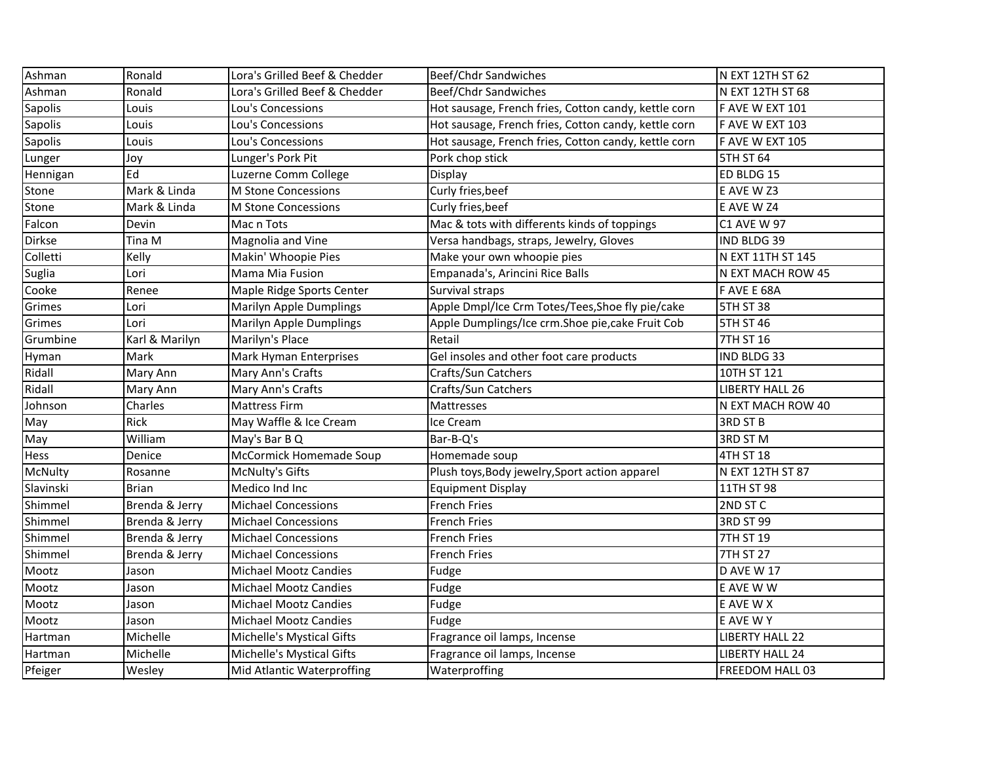| Ashman         | Ronald         | Lora's Grilled Beef & Chedder | Beef/Chdr Sandwiches                                 | N EXT 12TH ST 62       |
|----------------|----------------|-------------------------------|------------------------------------------------------|------------------------|
| Ashman         | Ronald         | Lora's Grilled Beef & Chedder | <b>Beef/Chdr Sandwiches</b>                          | N EXT 12TH ST 68       |
| Sapolis        | Louis          | Lou's Concessions             | Hot sausage, French fries, Cotton candy, kettle corn | F AVE W EXT 101        |
| <b>Sapolis</b> | Louis          | Lou's Concessions             | Hot sausage, French fries, Cotton candy, kettle corn | F AVE W EXT 103        |
| Sapolis        | Louis          | Lou's Concessions             | Hot sausage, French fries, Cotton candy, kettle corn | F AVE W EXT 105        |
| Lunger         | Joy            | Lunger's Pork Pit             | Pork chop stick                                      | <b>5TH ST 64</b>       |
| Hennigan       | Ed             | Luzerne Comm College          | Display                                              | ED BLDG 15             |
| Stone          | Mark & Linda   | M Stone Concessions           | Curly fries, beef                                    | E AVE W Z3             |
| Stone          | Mark & Linda   | M Stone Concessions           | Curly fries, beef                                    | E AVE W Z4             |
| Falcon         | Devin          | Mac n Tots                    | Mac & tots with differents kinds of toppings         | <b>C1 AVE W 97</b>     |
| Dirkse         | Tina M         | Magnolia and Vine             | Versa handbags, straps, Jewelry, Gloves              | IND BLDG 39            |
| Colletti       | Kelly          | Makin' Whoopie Pies           | Make your own whoopie pies                           | N EXT 11TH ST 145      |
| Suglia         | Lori           | Mama Mia Fusion               | Empanada's, Arincini Rice Balls                      | N EXT MACH ROW 45      |
| Cooke          | Renee          | Maple Ridge Sports Center     | Survival straps                                      | F AVE E 68A            |
| Grimes         | Lori           | Marilyn Apple Dumplings       | Apple Dmpl/Ice Crm Totes/Tees, Shoe fly pie/cake     | 5TH ST 38              |
| Grimes         | Lori           | Marilyn Apple Dumplings       | Apple Dumplings/Ice crm.Shoe pie, cake Fruit Cob     | <b>5TH ST 46</b>       |
| Grumbine       | Karl & Marilyn | Marilyn's Place               | Retail                                               | 7TH ST 16              |
| Hyman          | Mark           | Mark Hyman Enterprises        | Gel insoles and other foot care products             | IND BLDG 33            |
| Ridall         | Mary Ann       | Mary Ann's Crafts             | Crafts/Sun Catchers                                  | 10TH ST 121            |
| Ridall         | Mary Ann       | Mary Ann's Crafts             | Crafts/Sun Catchers                                  | LIBERTY HALL 26        |
| Johnson        | Charles        | <b>Mattress Firm</b>          | Mattresses                                           | N EXT MACH ROW 40      |
| May            | Rick           | May Waffle & Ice Cream        | Ice Cream                                            | <b>3RD ST B</b>        |
| May            | William        | May's Bar B Q                 | Bar-B-Q's                                            | 3RD ST M               |
| Hess           | Denice         | McCormick Homemade Soup       | Homemade soup                                        | 4TH ST 18              |
| McNulty        | Rosanne        | <b>McNulty's Gifts</b>        | Plush toys, Body jewelry, Sport action apparel       | N EXT 12TH ST 87       |
| Slavinski      | <b>Brian</b>   | Medico Ind Inc                | <b>Equipment Display</b>                             | 11TH ST 98             |
| Shimmel        | Brenda & Jerry | <b>Michael Concessions</b>    | <b>French Fries</b>                                  | 2ND ST C               |
| Shimmel        | Brenda & Jerry | <b>Michael Concessions</b>    | <b>French Fries</b>                                  | 3RD ST 99              |
| Shimmel        | Brenda & Jerry | <b>Michael Concessions</b>    | <b>French Fries</b>                                  | 7TH ST 19              |
| Shimmel        | Brenda & Jerry | <b>Michael Concessions</b>    | <b>French Fries</b>                                  | 7TH ST 27              |
| Mootz          | Jason          | <b>Michael Mootz Candies</b>  | Fudge                                                | <b>D AVE W 17</b>      |
| Mootz          | Jason          | Michael Mootz Candies         | Fudge                                                | E AVE W W              |
| Mootz          | Jason          | <b>Michael Mootz Candies</b>  | Fudge                                                | E AVE W X              |
| Mootz          | Jason          | <b>Michael Mootz Candies</b>  | Fudge                                                | E AVE W Y              |
| Hartman        | Michelle       | Michelle's Mystical Gifts     | Fragrance oil lamps, Incense                         | <b>LIBERTY HALL 22</b> |
| Hartman        | Michelle       | Michelle's Mystical Gifts     | Fragrance oil lamps, Incense                         | <b>LIBERTY HALL 24</b> |
| Pfeiger        | Wesley         | Mid Atlantic Waterproffing    | Waterproffing                                        | FREEDOM HALL 03        |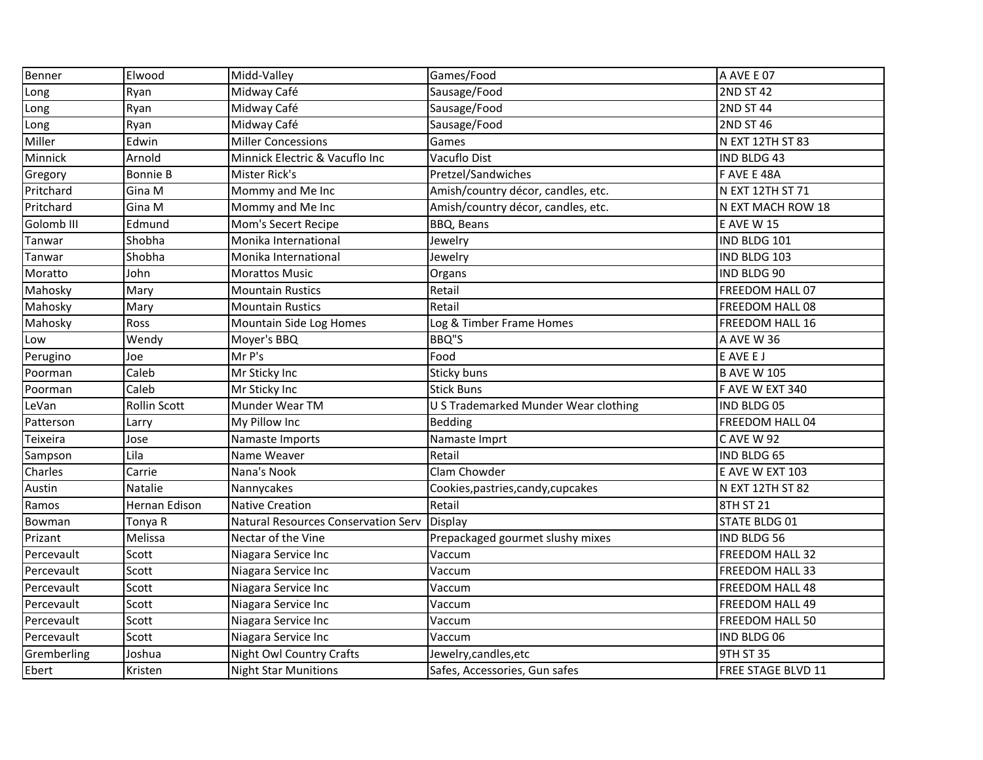| Benner                | Elwood              | Midd-Valley                         | Games/Food                           | A AVE E 07             |
|-----------------------|---------------------|-------------------------------------|--------------------------------------|------------------------|
| Long                  | Ryan                | Midway Café                         | Sausage/Food                         | <b>2ND ST 42</b>       |
| Long                  | Ryan                | Midway Café                         | Sausage/Food                         | <b>2ND ST 44</b>       |
| Long                  | Ryan                | Midway Café                         | Sausage/Food                         | 2ND ST 46              |
| Miller                | Edwin               | <b>Miller Concessions</b>           | Games                                | N EXT 12TH ST 83       |
| Minnick               | Arnold              | Minnick Electric & Vacuflo Inc      | Vacuflo Dist                         | <b>IND BLDG 43</b>     |
| Gregory               | <b>Bonnie B</b>     | Mister Rick's                       | Pretzel/Sandwiches                   | F AVE E 48A            |
| Pritchard             | Gina M              | Mommy and Me Inc                    | Amish/country décor, candles, etc.   | N EXT 12TH ST 71       |
| Pritchard             | Gina M              | Mommy and Me Inc                    | Amish/country décor, candles, etc.   | N EXT MACH ROW 18      |
| Golomb <sub>III</sub> | Edmund              | Mom's Secert Recipe                 | BBQ, Beans                           | <b>E AVE W 15</b>      |
| Tanwar                | Shobha              | Monika International                | Jewelry                              | IND BLDG 101           |
| Tanwar                | Shobha              | Monika International                | Jewelry                              | IND BLDG 103           |
| Moratto               | John                | <b>Morattos Music</b>               | Organs                               | IND BLDG 90            |
| Mahosky               | Mary                | <b>Mountain Rustics</b>             | Retail                               | FREEDOM HALL 07        |
| Mahosky               | Mary                | <b>Mountain Rustics</b>             | Retail                               | FREEDOM HALL 08        |
| Mahosky               | Ross                | Mountain Side Log Homes             | Log & Timber Frame Homes             | FREEDOM HALL 16        |
| Low                   | Wendy               | Moyer's BBQ                         | BBQ"S                                | A AVE W 36             |
| Perugino              | Joe                 | Mr P's                              | Food                                 | E AVE E J              |
| Poorman               | Caleb               | Mr Sticky Inc                       | Sticky buns                          | <b>B AVE W 105</b>     |
| Poorman               | Caleb               | Mr Sticky Inc                       | <b>Stick Buns</b>                    | F AVE W EXT 340        |
| LeVan                 | <b>Rollin Scott</b> | Munder Wear TM                      | U S Trademarked Munder Wear clothing | IND BLDG 05            |
| Patterson             | Larry               | My Pillow Inc                       | Bedding                              | FREEDOM HALL 04        |
| Teixeira              | Jose                | Namaste Imports                     | Namaste Imprt                        | <b>CAVE W 92</b>       |
| Sampson               | Lila                | Name Weaver                         | Retail                               | IND BLDG 65            |
| Charles               | Carrie              | Nana's Nook                         | Clam Chowder                         | E AVE W EXT 103        |
| Austin                | Natalie             | Nannycakes                          | Cookies, pastries, candy, cupcakes   | N EXT 12TH ST 82       |
| Ramos                 | Hernan Edison       | <b>Native Creation</b>              | Retail                               | 8TH ST 21              |
| Bowman                | Tonya R             | Natural Resources Conservation Serv | <b>Display</b>                       | <b>STATE BLDG 01</b>   |
| Prizant               | Melissa             | Nectar of the Vine                  | Prepackaged gourmet slushy mixes     | IND BLDG 56            |
| Percevault            | Scott               | Niagara Service Inc                 | Vaccum                               | FREEDOM HALL 32        |
| Percevault            | Scott               | Niagara Service Inc                 | Vaccum                               | FREEDOM HALL 33        |
| Percevault            | Scott               | Niagara Service Inc                 | Vaccum                               | <b>FREEDOM HALL 48</b> |
| Percevault            | Scott               | Niagara Service Inc                 | Vaccum                               | <b>FREEDOM HALL 49</b> |
| Percevault            | Scott               | Niagara Service Inc                 | Vaccum                               | <b>FREEDOM HALL 50</b> |
| Percevault            | Scott               | Niagara Service Inc                 | Vaccum                               | IND BLDG 06            |
| Gremberling           | Joshua              | Night Owl Country Crafts            | Jewelry, candles, etc                | <b>9TH ST 35</b>       |
| Ebert                 | Kristen             | <b>Night Star Munitions</b>         | Safes, Accessories, Gun safes        | FREE STAGE BLVD 11     |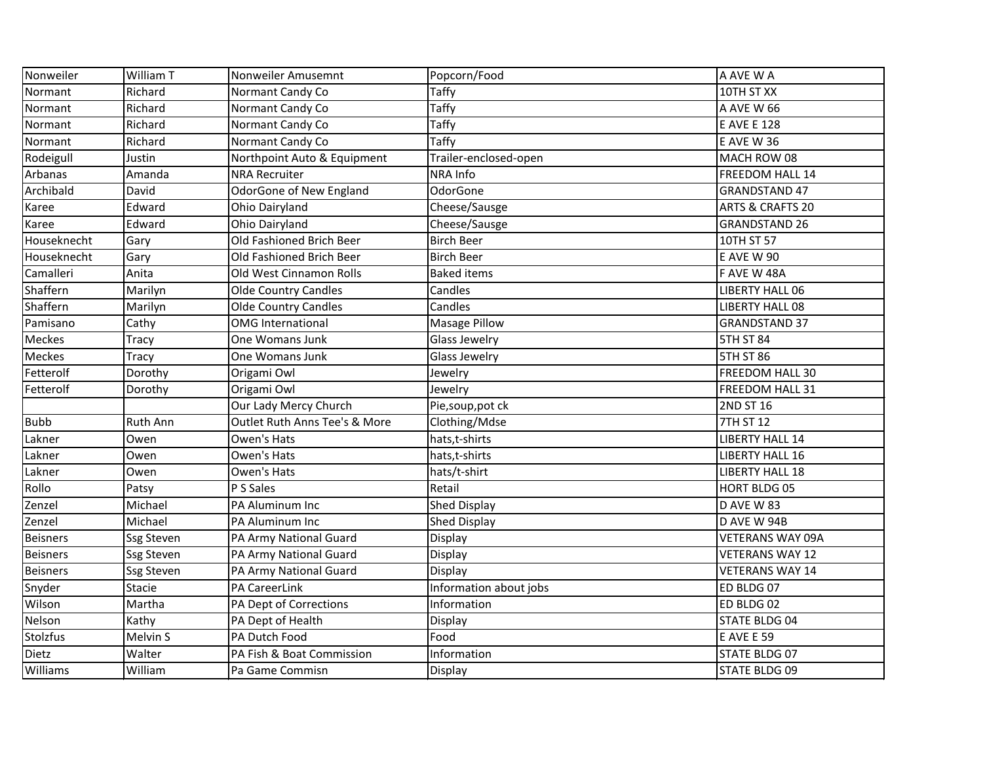| Nonweiler       | William T         | Nonweiler Amusemnt            | Popcorn/Food           | A AVE W A                   |
|-----------------|-------------------|-------------------------------|------------------------|-----------------------------|
| Normant         | Richard           | Normant Candy Co              | Taffy                  | 10TH ST XX                  |
| Normant         | Richard           | Normant Candy Co              | Taffy                  | A AVE W 66                  |
| Normant         | Richard           | Normant Candy Co              | Taffy                  | <b>E AVE E 128</b>          |
| Normant         | Richard           | Normant Candy Co              | Taffy                  | <b>E AVE W 36</b>           |
| Rodeigull       | Justin            | Northpoint Auto & Equipment   | Trailer-enclosed-open  | MACH ROW 08                 |
| Arbanas         | Amanda            | <b>NRA Recruiter</b>          | NRA Info               | FREEDOM HALL 14             |
| Archibald       | David             | OdorGone of New England       | OdorGone               | <b>GRANDSTAND 47</b>        |
| Karee           | Edward            | Ohio Dairyland                | Cheese/Sausge          | <b>ARTS &amp; CRAFTS 20</b> |
| Karee           | Edward            | Ohio Dairyland                | Cheese/Sausge          | <b>GRANDSTAND 26</b>        |
| Houseknecht     | Gary              | Old Fashioned Brich Beer      | <b>Birch Beer</b>      | 10TH ST 57                  |
| Houseknecht     | Gary              | Old Fashioned Brich Beer      | <b>Birch Beer</b>      | <b>E AVE W 90</b>           |
| Camalleri       | Anita             | Old West Cinnamon Rolls       | <b>Baked items</b>     | F AVE W 48A                 |
| Shaffern        | Marilyn           | <b>Olde Country Candles</b>   | Candles                | <b>LIBERTY HALL 06</b>      |
| Shaffern        | Marilyn           | <b>Olde Country Candles</b>   | Candles                | <b>LIBERTY HALL 08</b>      |
| Pamisano        | Cathy             | <b>OMG</b> International      | Masage Pillow          | <b>GRANDSTAND 37</b>        |
| <b>Meckes</b>   | Tracy             | One Womans Junk               | Glass Jewelry          | 5TH ST 84                   |
| Meckes          | <b>Tracy</b>      | One Womans Junk               | Glass Jewelry          | <b>5TH ST 86</b>            |
| Fetterolf       | Dorothy           | Origami Owl                   | Jewelry                | FREEDOM HALL 30             |
| Fetterolf       | Dorothy           | Origami Owl                   | Jewelry                | FREEDOM HALL 31             |
|                 |                   | Our Lady Mercy Church         | Pie, soup, pot ck      | 2ND ST 16                   |
| <b>Bubb</b>     | Ruth Ann          | Outlet Ruth Anns Tee's & More | Clothing/Mdse          | 7TH ST 12                   |
| Lakner          | Owen              | Owen's Hats                   | hats, t-shirts         | <b>LIBERTY HALL 14</b>      |
| Lakner          | Owen              | Owen's Hats                   | hats, t-shirts         | <b>LIBERTY HALL 16</b>      |
| Lakner          | Owen              | Owen's Hats                   | hats/t-shirt           | <b>LIBERTY HALL 18</b>      |
| Rollo           | Patsy             | P S Sales                     | Retail                 | <b>HORT BLDG 05</b>         |
| Zenzel          | Michael           | PA Aluminum Inc               | Shed Display           | D AVE W 83                  |
| Zenzel          | Michael           | PA Aluminum Inc               | Shed Display           | D AVE W 94B                 |
| Beisners        | Ssg Steven        | PA Army National Guard        | Display                | <b>VETERANS WAY 09A</b>     |
| <b>Beisners</b> | <b>Ssg Steven</b> | PA Army National Guard        | Display                | <b>VETERANS WAY 12</b>      |
| <b>Beisners</b> | <b>Ssg Steven</b> | PA Army National Guard        | Display                | <b>VETERANS WAY 14</b>      |
| Snyder          | Stacie            | PA CareerLink                 | Information about jobs | ED BLDG 07                  |
| Wilson          | Martha            | PA Dept of Corrections        | Information            | ED BLDG 02                  |
| Nelson          | Kathy             | PA Dept of Health             | Display                | <b>STATE BLDG 04</b>        |
| <b>Stolzfus</b> | Melvin S          | PA Dutch Food                 | Food                   | <b>E AVE E 59</b>           |
| Dietz           | Walter            | PA Fish & Boat Commission     | Information            | STATE BLDG 07               |
| Williams        | William           | Pa Game Commisn               | Display                | <b>STATE BLDG 09</b>        |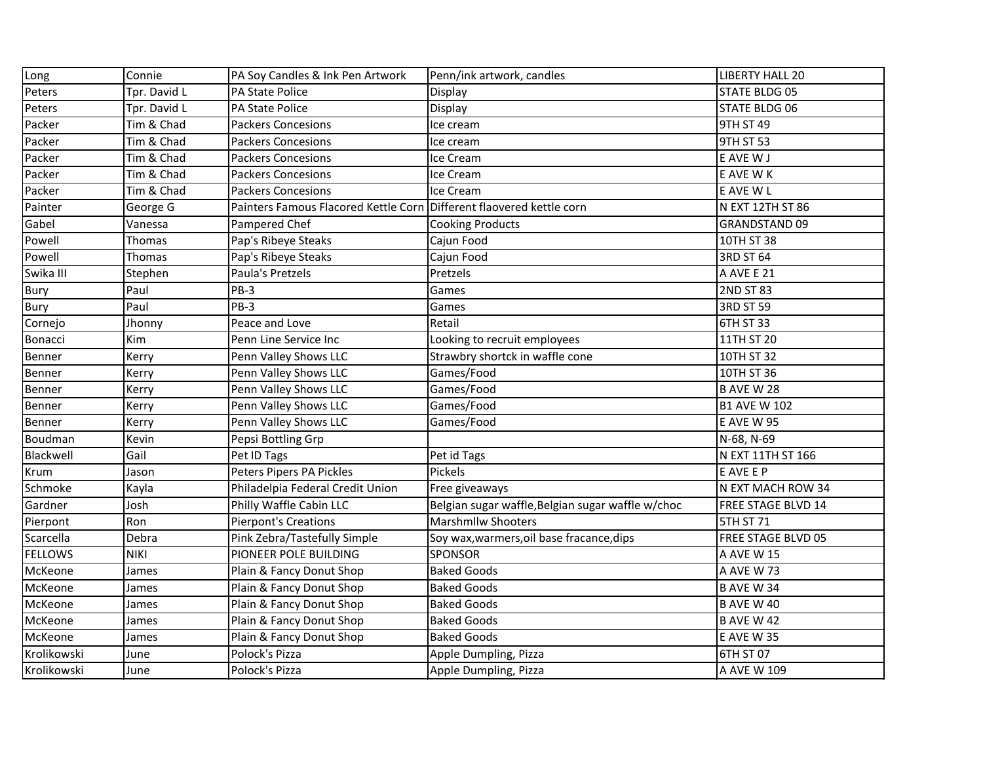| Long           | Connie       | PA Soy Candles & Ink Pen Artwork                                     | Penn/ink artwork, candles                         | <b>LIBERTY HALL 20</b> |
|----------------|--------------|----------------------------------------------------------------------|---------------------------------------------------|------------------------|
| Peters         | Tpr. David L | <b>PA State Police</b>                                               | Display                                           | <b>STATE BLDG 05</b>   |
| Peters         | Tpr. David L | PA State Police                                                      | Display                                           | <b>STATE BLDG 06</b>   |
| Packer         | Tim & Chad   | <b>Packers Concesions</b>                                            | lce cream                                         | 9TH ST 49              |
| Packer         | Tim & Chad   | <b>Packers Concesions</b>                                            | Ice cream                                         | 9TH ST 53              |
| Packer         | Tim & Chad   | <b>Packers Concesions</b>                                            | Ice Cream                                         | E AVE W J              |
| Packer         | Tim & Chad   | <b>Packers Concesions</b>                                            | Ice Cream                                         | E AVE W K              |
| Packer         | Tim & Chad   | <b>Packers Concesions</b>                                            | Ice Cream                                         | E AVE W L              |
| Painter        | George G     | Painters Famous Flacored Kettle Corn Different flaovered kettle corn |                                                   | N EXT 12TH ST 86       |
| Gabel          | Vanessa      | Pampered Chef                                                        | <b>Cooking Products</b>                           | <b>GRANDSTAND 09</b>   |
| Powell         | Thomas       | Pap's Ribeye Steaks                                                  | Cajun Food                                        | 10TH ST 38             |
| Powell         | Thomas       | Pap's Ribeye Steaks                                                  | Cajun Food                                        | 3RD ST 64              |
| Swika III      | Stephen      | Paula's Pretzels                                                     | Pretzels                                          | A AVE E 21             |
| Bury           | Paul         | PB-3                                                                 | Games                                             | 2ND ST 83              |
| Bury           | Paul         | $PB-3$                                                               | Games                                             | 3RD ST 59              |
| Cornejo        | Jhonny       | Peace and Love                                                       | Retail                                            | 6TH ST 33              |
| Bonacci        | Kim          | Penn Line Service Inc                                                | Looking to recruit employees                      | 11TH ST 20             |
| Benner         | Kerry        | Penn Valley Shows LLC                                                | Strawbry shortck in waffle cone                   | 10TH ST 32             |
| Benner         | Kerry        | Penn Valley Shows LLC                                                | Games/Food                                        | 10TH ST 36             |
| Benner         | Kerry        | Penn Valley Shows LLC                                                | Games/Food                                        | <b>B AVE W 28</b>      |
| Benner         | Kerry        | Penn Valley Shows LLC                                                | Games/Food                                        | <b>B1 AVE W 102</b>    |
| Benner         | Kerry        | Penn Valley Shows LLC                                                | Games/Food                                        | <b>E AVE W 95</b>      |
| Boudman        | Kevin        | Pepsi Bottling Grp                                                   |                                                   | N-68, N-69             |
| Blackwell      | Gail         | Pet ID Tags                                                          | Pet id Tags                                       | N EXT 11TH ST 166      |
| Krum           | Jason        | Peters Pipers PA Pickles                                             | Pickels                                           | E AVE E P              |
| Schmoke        | Kayla        | Philadelpia Federal Credit Union                                     | Free giveaways                                    | N EXT MACH ROW 34      |
| Gardner        | Josh         | Philly Waffle Cabin LLC                                              | Belgian sugar waffle, Belgian sugar waffle w/choc | FREE STAGE BLVD 14     |
| Pierpont       | Ron          | <b>Pierpont's Creations</b>                                          | <b>Marshmllw Shooters</b>                         | 5TH ST 71              |
| Scarcella      | Debra        | Pink Zebra/Tastefully Simple                                         | Soy wax, warmers, oil base fracance, dips         | FREE STAGE BLVD 05     |
| <b>FELLOWS</b> | <b>NIKI</b>  | PIONEER POLE BUILDING                                                | <b>SPONSOR</b>                                    | A AVE W 15             |
| McKeone        | James        | Plain & Fancy Donut Shop                                             | <b>Baked Goods</b>                                | A AVE W 73             |
| McKeone        | James        | Plain & Fancy Donut Shop                                             | <b>Baked Goods</b>                                | B AVE W 34             |
| McKeone        | James        | Plain & Fancy Donut Shop                                             | <b>Baked Goods</b>                                | B AVE W 40             |
| McKeone        | James        | Plain & Fancy Donut Shop                                             | <b>Baked Goods</b>                                | <b>B AVE W 42</b>      |
| McKeone        | James        | Plain & Fancy Donut Shop                                             | <b>Baked Goods</b>                                | <b>E AVE W 35</b>      |
| Krolikowski    | June         | Polock's Pizza                                                       | Apple Dumpling, Pizza                             | 6TH ST 07              |
| Krolikowski    | June         | Polock's Pizza                                                       | Apple Dumpling, Pizza                             | A AVE W 109            |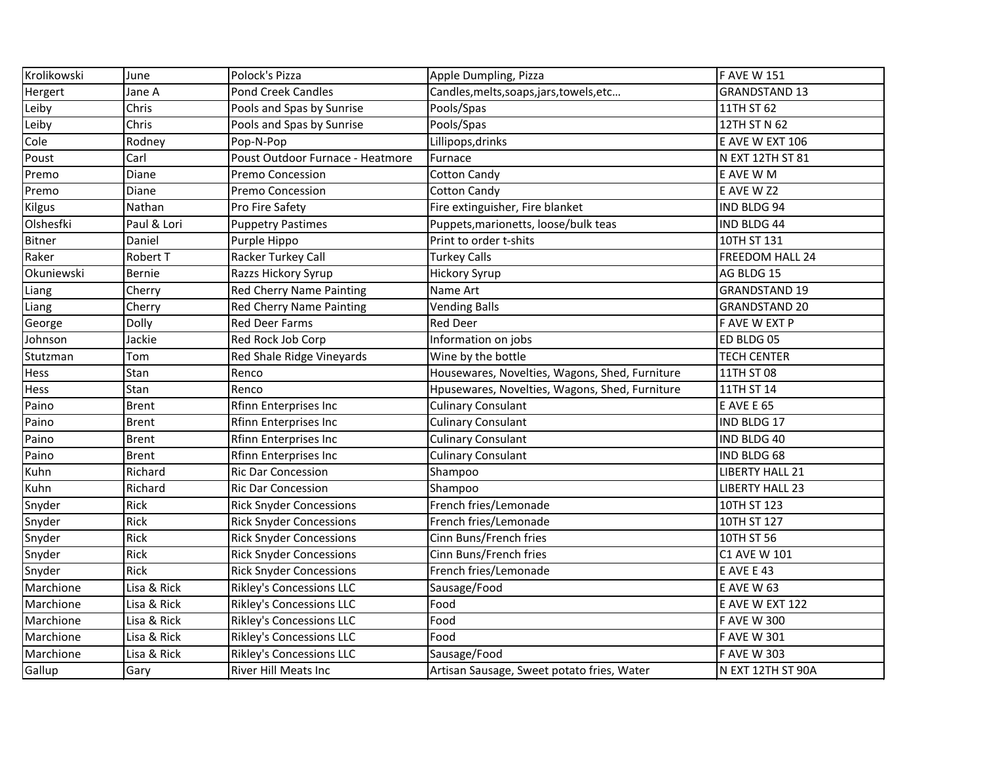| Krolikowski   | June         | Polock's Pizza                   | Apple Dumpling, Pizza                          | <b>FAVE W 151</b>      |
|---------------|--------------|----------------------------------|------------------------------------------------|------------------------|
| Hergert       | Jane A       | <b>Pond Creek Candles</b>        | Candles, melts, soaps, jars, towels, etc       | <b>GRANDSTAND 13</b>   |
| Leiby         | Chris        | Pools and Spas by Sunrise        | Pools/Spas                                     | 11TH ST 62             |
| Leiby         | Chris        | Pools and Spas by Sunrise        | Pools/Spas                                     | 12TH ST N 62           |
| Cole          | Rodney       | Pop-N-Pop                        | Lillipops, drinks                              | E AVE W EXT 106        |
| Poust         | Carl         | Poust Outdoor Furnace - Heatmore | Furnace                                        | N EXT 12TH ST 81       |
| Premo         | Diane        | Premo Concession                 | <b>Cotton Candy</b>                            | E AVE W M              |
| Premo         | Diane        | Premo Concession                 | <b>Cotton Candy</b>                            | E AVE W Z2             |
| <b>Kilgus</b> | Nathan       | Pro Fire Safety                  | Fire extinguisher, Fire blanket                | <b>IND BLDG 94</b>     |
| Olshesfki     | Paul & Lori  | <b>Puppetry Pastimes</b>         | Puppets, marionetts, loose/bulk teas           | IND BLDG 44            |
| <b>Bitner</b> | Daniel       | Purple Hippo                     | Print to order t-shits                         | 10TH ST 131            |
| Raker         | Robert T     | Racker Turkey Call               | <b>Turkey Calls</b>                            | <b>FREEDOM HALL 24</b> |
| Okuniewski    | Bernie       | Razzs Hickory Syrup              | <b>Hickory Syrup</b>                           | AG BLDG 15             |
| Liang         | Cherry       | <b>Red Cherry Name Painting</b>  | Name Art                                       | <b>GRANDSTAND 19</b>   |
| Liang         | Cherry       | <b>Red Cherry Name Painting</b>  | <b>Vending Balls</b>                           | <b>GRANDSTAND 20</b>   |
| George        | <b>Dolly</b> | <b>Red Deer Farms</b>            | <b>Red Deer</b>                                | F AVE W EXT P          |
| Johnson       | Jackie       | Red Rock Job Corp                | Information on jobs                            | ED BLDG 05             |
| Stutzman      | Tom          | Red Shale Ridge Vineyards        | Wine by the bottle                             | <b>TECH CENTER</b>     |
| Hess          | Stan         | Renco                            | Housewares, Novelties, Wagons, Shed, Furniture | 11TH ST 08             |
| Hess          | Stan         | Renco                            | Hpusewares, Novelties, Wagons, Shed, Furniture | 11TH ST 14             |
| Paino         | <b>Brent</b> | Rfinn Enterprises Inc            | <b>Culinary Consulant</b>                      | <b>E AVE E 65</b>      |
| Paino         | <b>Brent</b> | <b>Rfinn Enterprises Inc</b>     | <b>Culinary Consulant</b>                      | IND BLDG 17            |
| Paino         | <b>Brent</b> | <b>Rfinn Enterprises Inc</b>     | <b>Culinary Consulant</b>                      | IND BLDG 40            |
| Paino         | <b>Brent</b> | Rfinn Enterprises Inc            | <b>Culinary Consulant</b>                      | IND BLDG 68            |
| Kuhn          | Richard      | Ric Dar Concession               | Shampoo                                        | <b>LIBERTY HALL 21</b> |
| Kuhn          | Richard      | <b>Ric Dar Concession</b>        | Shampoo                                        | <b>LIBERTY HALL 23</b> |
| Snyder        | Rick         | <b>Rick Snyder Concessions</b>   | French fries/Lemonade                          | 10TH ST 123            |
| Snyder        | Rick         | <b>Rick Snyder Concessions</b>   | French fries/Lemonade                          | 10TH ST 127            |
| Snyder        | Rick         | <b>Rick Snyder Concessions</b>   | Cinn Buns/French fries                         | 10TH ST 56             |
| Snyder        | Rick         | <b>Rick Snyder Concessions</b>   | Cinn Buns/French fries                         | C1 AVE W 101           |
| Snyder        | Rick         | <b>Rick Snyder Concessions</b>   | French fries/Lemonade                          | E AVE E 43             |
| Marchione     | Lisa & Rick  | Rikley's Concessions LLC         | Sausage/Food                                   | E AVE W 63             |
| Marchione     | Lisa & Rick  | <b>Rikley's Concessions LLC</b>  | Food                                           | E AVE W EXT 122        |
| Marchione     | Lisa & Rick  | <b>Rikley's Concessions LLC</b>  | Food                                           | <b>F AVE W 300</b>     |
| Marchione     | Lisa & Rick  | Rikley's Concessions LLC         | Food                                           | <b>FAVE W301</b>       |
| Marchione     | Lisa & Rick  | <b>Rikley's Concessions LLC</b>  | Sausage/Food                                   | <b>FAVE W303</b>       |
| Gallup        | Gary         | River Hill Meats Inc             | Artisan Sausage, Sweet potato fries, Water     | N EXT 12TH ST 90A      |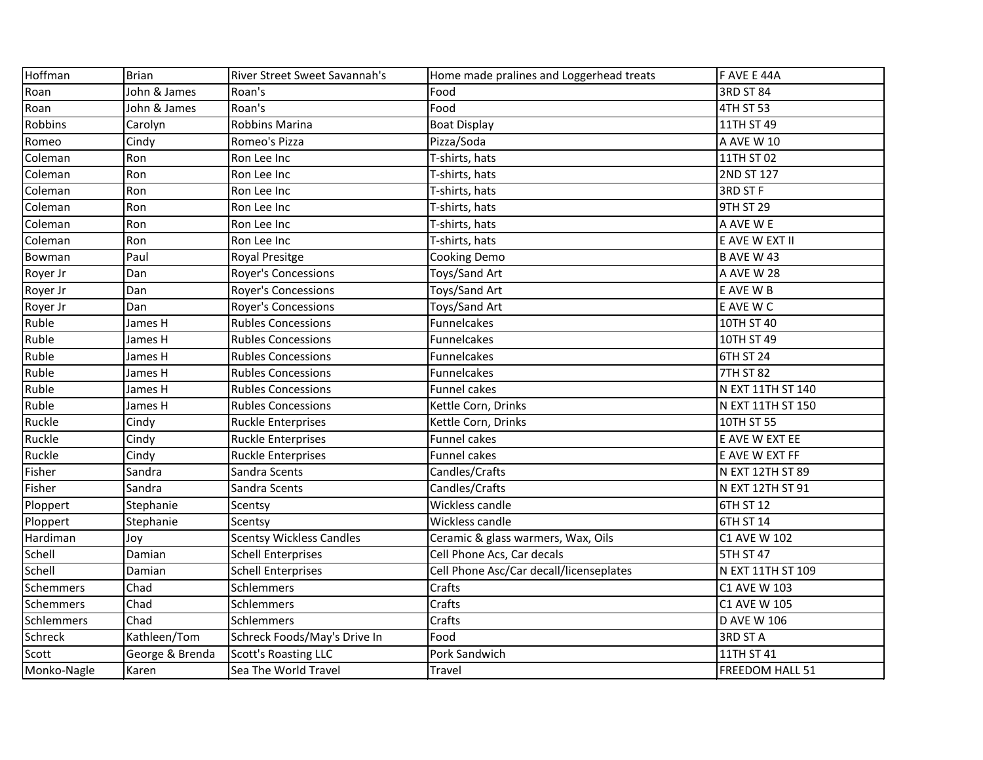| Hoffman     | <b>Brian</b>    | River Street Sweet Savannah's   | Home made pralines and Loggerhead treats | F AVE E 44A        |
|-------------|-----------------|---------------------------------|------------------------------------------|--------------------|
| Roan        | John & James    | Roan's                          | Food                                     | 3RD ST 84          |
| Roan        | John & James    | Roan's                          | Food                                     | 4TH ST 53          |
| Robbins     | Carolyn         | Robbins Marina                  | <b>Boat Display</b>                      | 11TH ST 49         |
| Romeo       | Cindy           | Romeo's Pizza                   | Pizza/Soda                               | A AVE W 10         |
| Coleman     | Ron             | Ron Lee Inc                     | T-shirts, hats                           | 11TH ST 02         |
| Coleman     | Ron             | Ron Lee Inc                     | T-shirts, hats                           | 2ND ST 127         |
| Coleman     | Ron             | Ron Lee Inc                     | T-shirts, hats                           | 3RD ST F           |
| Coleman     | Ron             | Ron Lee Inc                     | T-shirts, hats                           | 9TH ST 29          |
| Coleman     | Ron             | Ron Lee Inc                     | T-shirts, hats                           | A AVE W E          |
| Coleman     | Ron             | Ron Lee Inc                     | T-shirts, hats                           | E AVE W EXT II     |
| Bowman      | Paul            | Royal Presitge                  | Cooking Demo                             | <b>B AVE W 43</b>  |
| Royer Jr    | Dan             | <b>Royer's Concessions</b>      | Toys/Sand Art                            | A AVE W 28         |
| Royer Jr    | Dan             | Royer's Concessions             | Toys/Sand Art                            | E AVE W B          |
| Royer Jr    | Dan             | <b>Royer's Concessions</b>      | Toys/Sand Art                            | E AVE W C          |
| Ruble       | James H         | <b>Rubles Concessions</b>       | <b>Funnelcakes</b>                       | 10TH ST 40         |
| Ruble       | James H         | <b>Rubles Concessions</b>       | Funnelcakes                              | 10TH ST 49         |
| Ruble       | James H         | <b>Rubles Concessions</b>       | Funnelcakes                              | <b>6TH ST 24</b>   |
| Ruble       | James H         | <b>Rubles Concessions</b>       | <b>Funnelcakes</b>                       | <b>7TH ST 82</b>   |
| Ruble       | James H         | <b>Rubles Concessions</b>       | <b>Funnel cakes</b>                      | N EXT 11TH ST 140  |
| Ruble       | James H         | <b>Rubles Concessions</b>       | Kettle Corn, Drinks                      | N EXT 11TH ST 150  |
| Ruckle      | Cindy           | <b>Ruckle Enterprises</b>       | Kettle Corn, Drinks                      | 10TH ST 55         |
| Ruckle      | Cindy           | <b>Ruckle Enterprises</b>       | Funnel cakes                             | E AVE W EXT EE     |
| Ruckle      | Cindy           | <b>Ruckle Enterprises</b>       | <b>Funnel cakes</b>                      | E AVE W EXT FF     |
| Fisher      | Sandra          | Sandra Scents                   | Candles/Crafts                           | N EXT 12TH ST 89   |
| Fisher      | Sandra          | Sandra Scents                   | Candles/Crafts                           | N EXT 12TH ST 91   |
| Ploppert    | Stephanie       | Scentsy                         | Wickless candle                          | 6TH ST 12          |
| Ploppert    | Stephanie       | Scentsy                         | Wickless candle                          | 6TH ST 14          |
| Hardiman    | Joy             | <b>Scentsy Wickless Candles</b> | Ceramic & glass warmers, Wax, Oils       | C1 AVE W 102       |
| Schell      | Damian          | <b>Schell Enterprises</b>       | Cell Phone Acs, Car decals               | 5TH ST 47          |
| Schell      | Damian          | <b>Schell Enterprises</b>       | Cell Phone Asc/Car decall/licenseplates  | N EXT 11TH ST 109  |
| Schemmers   | Chad            | Schlemmers                      | Crafts                                   | C1 AVE W 103       |
| Schemmers   | Chad            | Schlemmers                      | Crafts                                   | C1 AVE W 105       |
| Schlemmers  | Chad            | Schlemmers                      | Crafts                                   | <b>D AVE W 106</b> |
| Schreck     | Kathleen/Tom    | Schreck Foods/May's Drive In    | Food                                     | 3RD ST A           |
| Scott       | George & Brenda | <b>Scott's Roasting LLC</b>     | Pork Sandwich                            | 11TH ST 41         |
| Monko-Nagle | Karen           | Sea The World Travel            | Travel                                   | FREEDOM HALL 51    |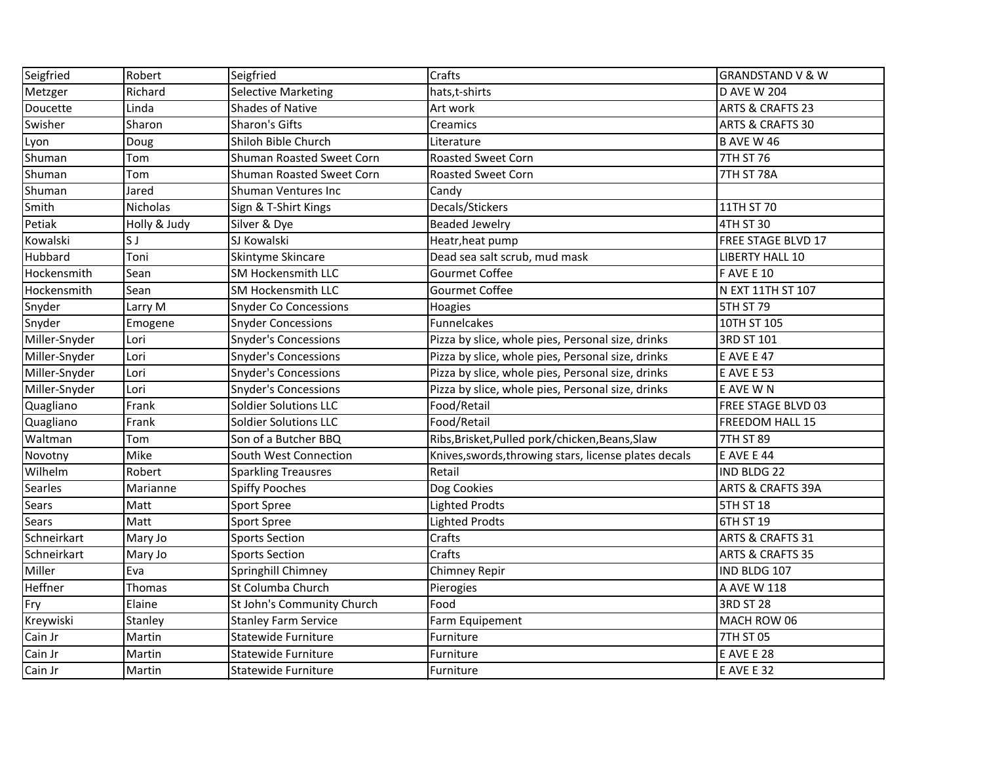| Seigfried      | Robert          | Seigfried                    | Crafts                                                | <b>GRANDSTAND V &amp; W</b>  |
|----------------|-----------------|------------------------------|-------------------------------------------------------|------------------------------|
| Metzger        | Richard         | <b>Selective Marketing</b>   | hats, t-shirts                                        | <b>D AVE W 204</b>           |
| Doucette       | Linda           | <b>Shades of Native</b>      | Art work                                              | <b>ARTS &amp; CRAFTS 23</b>  |
| Swisher        | Sharon          | Sharon's Gifts               | Creamics                                              | <b>ARTS &amp; CRAFTS 30</b>  |
| Lyon           | Doug            | Shiloh Bible Church          | Literature                                            | <b>B AVE W 46</b>            |
| Shuman         | Tom             | Shuman Roasted Sweet Corn    | <b>Roasted Sweet Corn</b>                             | <b>7TH ST 76</b>             |
| Shuman         | Tom             | Shuman Roasted Sweet Corn    | <b>Roasted Sweet Corn</b>                             | 7TH ST 78A                   |
| Shuman         | Jared           | <b>Shuman Ventures Inc</b>   | Candy                                                 |                              |
| Smith          | <b>Nicholas</b> | Sign & T-Shirt Kings         | Decals/Stickers                                       | 11TH ST 70                   |
| Petiak         | Holly & Judy    | Silver & Dye                 | <b>Beaded Jewelry</b>                                 | 4TH ST 30                    |
| Kowalski       | S J             | SJ Kowalski                  | Heatr, heat pump                                      | <b>FREE STAGE BLVD 17</b>    |
| Hubbard        | Toni            | Skintyme Skincare            | Dead sea salt scrub, mud mask                         | <b>LIBERTY HALL 10</b>       |
| Hockensmith    | Sean            | SM Hockensmith LLC           | Gourmet Coffee                                        | <b>FAVE E 10</b>             |
| Hockensmith    | Sean            | <b>SM Hockensmith LLC</b>    | Gourmet Coffee                                        | N EXT 11TH ST 107            |
| Snyder         | Larry M         | <b>Snyder Co Concessions</b> | Hoagies                                               | <b>5TH ST 79</b>             |
| Snyder         | Emogene         | <b>Snyder Concessions</b>    | Funnelcakes                                           | 10TH ST 105                  |
| Miller-Snyder  | Lori            | <b>Snyder's Concessions</b>  | Pizza by slice, whole pies, Personal size, drinks     | 3RD ST 101                   |
| Miller-Snyder  | Lori            | <b>Snyder's Concessions</b>  | Pizza by slice, whole pies, Personal size, drinks     | E AVE E 47                   |
| Miller-Snyder  | Lori            | <b>Snyder's Concessions</b>  | Pizza by slice, whole pies, Personal size, drinks     | <b>E AVE E 53</b>            |
| Miller-Snyder  | Lori            | <b>Snyder's Concessions</b>  | Pizza by slice, whole pies, Personal size, drinks     | E AVE W N                    |
| Quagliano      | Frank           | <b>Soldier Solutions LLC</b> | Food/Retail                                           | FREE STAGE BLVD 03           |
| Quagliano      | Frank           | <b>Soldier Solutions LLC</b> | Food/Retail                                           | <b>FREEDOM HALL 15</b>       |
| Waltman        | Tom             | Son of a Butcher BBQ         | Ribs, Brisket, Pulled pork/chicken, Beans, Slaw       | <b>7TH ST 89</b>             |
| Novotny        | Mike            | South West Connection        | Knives, swords, throwing stars, license plates decals | <b>E AVE E 44</b>            |
| Wilhelm        | Robert          | <b>Sparkling Treausres</b>   | Retail                                                | <b>IND BLDG 22</b>           |
| <b>Searles</b> | Marianne        | <b>Spiffy Pooches</b>        | Dog Cookies                                           | <b>ARTS &amp; CRAFTS 39A</b> |
| <b>Sears</b>   | Matt            | <b>Sport Spree</b>           | <b>Lighted Prodts</b>                                 | <b>5TH ST 18</b>             |
| <b>Sears</b>   | Matt            | <b>Sport Spree</b>           | <b>Lighted Prodts</b>                                 | 6TH ST 19                    |
| Schneirkart    | Mary Jo         | <b>Sports Section</b>        | Crafts                                                | <b>ARTS &amp; CRAFTS 31</b>  |
| Schneirkart    | Mary Jo         | <b>Sports Section</b>        | Crafts                                                | <b>ARTS &amp; CRAFTS 35</b>  |
| Miller         | Eva             | Springhill Chimney           | Chimney Repir                                         | IND BLDG 107                 |
| Heffner        | Thomas          | St Columba Church            | Pierogies                                             | JA AVE W 118                 |
| Fry            | Elaine          | St John's Community Church   | Food                                                  | <b>3RD ST 28</b>             |
| Kreywiski      | Stanley         | <b>Stanley Farm Service</b>  | Farm Equipement                                       | MACH ROW 06                  |
| Cain Jr        | Martin          | <b>Statewide Furniture</b>   | Furniture                                             | 7TH ST 05                    |
| Cain Jr        | Martin          | <b>Statewide Furniture</b>   | Furniture                                             | <b>E AVE E 28</b>            |
| Cain Jr        | Martin          | <b>Statewide Furniture</b>   | Furniture                                             | <b>E AVE E 32</b>            |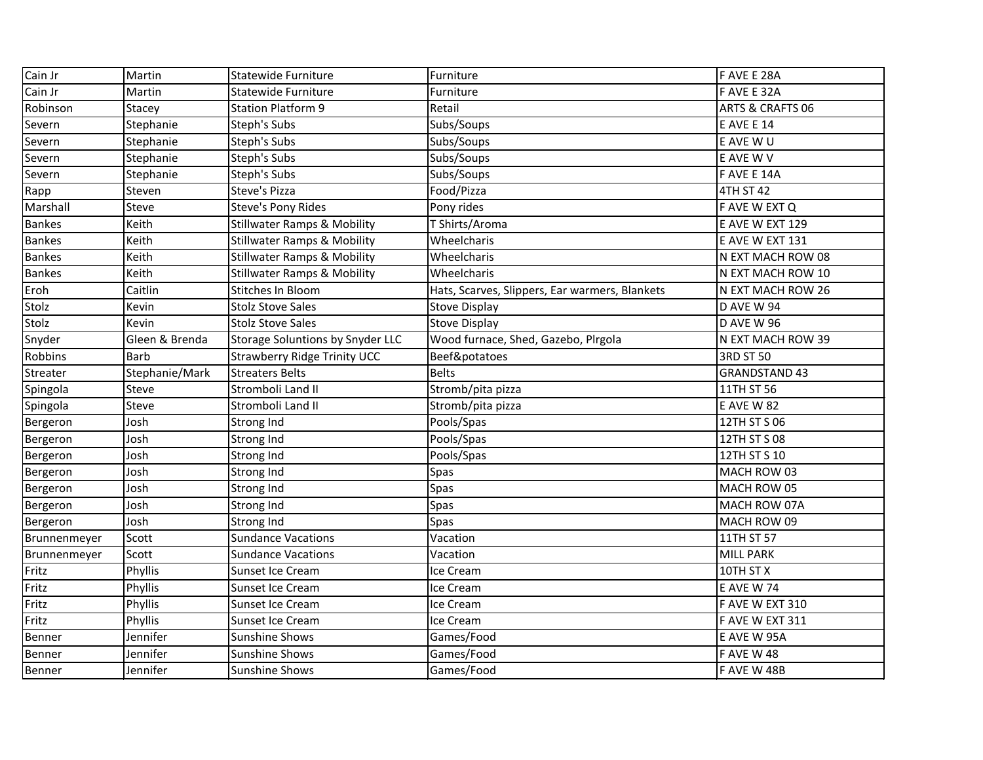| Cain Jr       | Martin         | <b>Statewide Furniture</b>              | Furniture                                      | F AVE E 28A                 |
|---------------|----------------|-----------------------------------------|------------------------------------------------|-----------------------------|
| Cain Jr       | Martin         | <b>Statewide Furniture</b>              | Furniture                                      | F AVE E 32A                 |
| Robinson      | Stacey         | <b>Station Platform 9</b>               | Retail                                         | <b>ARTS &amp; CRAFTS 06</b> |
| Severn        | Stephanie      | Steph's Subs                            | Subs/Soups                                     | <b>E AVE E 14</b>           |
| Severn        | Stephanie      | Steph's Subs                            | Subs/Soups                                     | E AVE W U                   |
| Severn        | Stephanie      | Steph's Subs                            | Subs/Soups                                     | E AVE W V                   |
| Severn        | Stephanie      | Steph's Subs                            | Subs/Soups                                     | F AVE E 14A                 |
| Rapp          | Steven         | Steve's Pizza                           | Food/Pizza                                     | 4TH ST 42                   |
| Marshall      | Steve          | Steve's Pony Rides                      | Pony rides                                     | F AVE W EXT Q               |
| <b>Bankes</b> | Keith          | <b>Stillwater Ramps &amp; Mobility</b>  | T Shirts/Aroma                                 | E AVE W EXT 129             |
| <b>Bankes</b> | Keith          | <b>Stillwater Ramps &amp; Mobility</b>  | Wheelcharis                                    | E AVE W EXT 131             |
| <b>Bankes</b> | Keith          | <b>Stillwater Ramps &amp; Mobility</b>  | Wheelcharis                                    | N EXT MACH ROW 08           |
| <b>Bankes</b> | Keith          | <b>Stillwater Ramps &amp; Mobility</b>  | Wheelcharis                                    | N EXT MACH ROW 10           |
| Eroh          | Caitlin        | Stitches In Bloom                       | Hats, Scarves, Slippers, Ear warmers, Blankets | N EXT MACH ROW 26           |
| Stolz         | Kevin          | <b>Stolz Stove Sales</b>                | <b>Stove Display</b>                           | D AVE W 94                  |
| Stolz         | Kevin          | <b>Stolz Stove Sales</b>                | <b>Stove Display</b>                           | <b>D AVE W 96</b>           |
| Snyder        | Gleen & Brenda | <b>Storage Soluntions by Snyder LLC</b> | Wood furnace, Shed, Gazebo, Plrgola            | N EXT MACH ROW 39           |
| Robbins       | <b>Barb</b>    | <b>Strawberry Ridge Trinity UCC</b>     | Beef&potatoes                                  | 3RD ST 50                   |
| Streater      | Stephanie/Mark | <b>Streaters Belts</b>                  | <b>Belts</b>                                   | <b>GRANDSTAND 43</b>        |
| Spingola      | Steve          | Stromboli Land II                       | Stromb/pita pizza                              | 11TH ST 56                  |
| Spingola      | Steve          | Stromboli Land II                       | Stromb/pita pizza                              | <b>E AVE W 82</b>           |
| Bergeron      | Josh           | Strong Ind                              | Pools/Spas                                     | 12TH ST S 06                |
| Bergeron      | Josh           | Strong Ind                              | Pools/Spas                                     | 12TH ST S 08                |
| Bergeron      | Josh           | Strong Ind                              | Pools/Spas                                     | 12TH ST S 10                |
| Bergeron      | Josh           | Strong Ind                              | Spas                                           | MACH ROW 03                 |
| Bergeron      | Josh           | Strong Ind                              | <b>Spas</b>                                    | MACH ROW 05                 |
| Bergeron      | Josh           | Strong Ind                              | <b>Spas</b>                                    | MACH ROW 07A                |
| Bergeron      | Josh           | Strong Ind                              | <b>Spas</b>                                    | MACH ROW 09                 |
| Brunnenmeyer  | Scott          | <b>Sundance Vacations</b>               | Vacation                                       | 11TH ST 57                  |
| Brunnenmeyer  | Scott          | <b>Sundance Vacations</b>               | Vacation                                       | <b>MILL PARK</b>            |
| Fritz         | Phyllis        | Sunset Ice Cream                        | Ice Cream                                      | 10TH ST X                   |
| Fritz         | Phyllis        | Sunset Ice Cream                        | lce Cream                                      | E AVE W 74                  |
| Fritz         | Phyllis        | Sunset Ice Cream                        | Ice Cream                                      | F AVE W EXT 310             |
| Fritz         | Phyllis        | Sunset Ice Cream                        | Ice Cream                                      | F AVE W EXT 311             |
| Benner        | Jennifer       | Sunshine Shows                          | Games/Food                                     | E AVE W 95A                 |
| Benner        | Jennifer       | <b>Sunshine Shows</b>                   | Games/Food                                     | <b>FAVEW48</b>              |
| Benner        | Jennifer       | <b>Sunshine Shows</b>                   | Games/Food                                     | F AVE W 48B                 |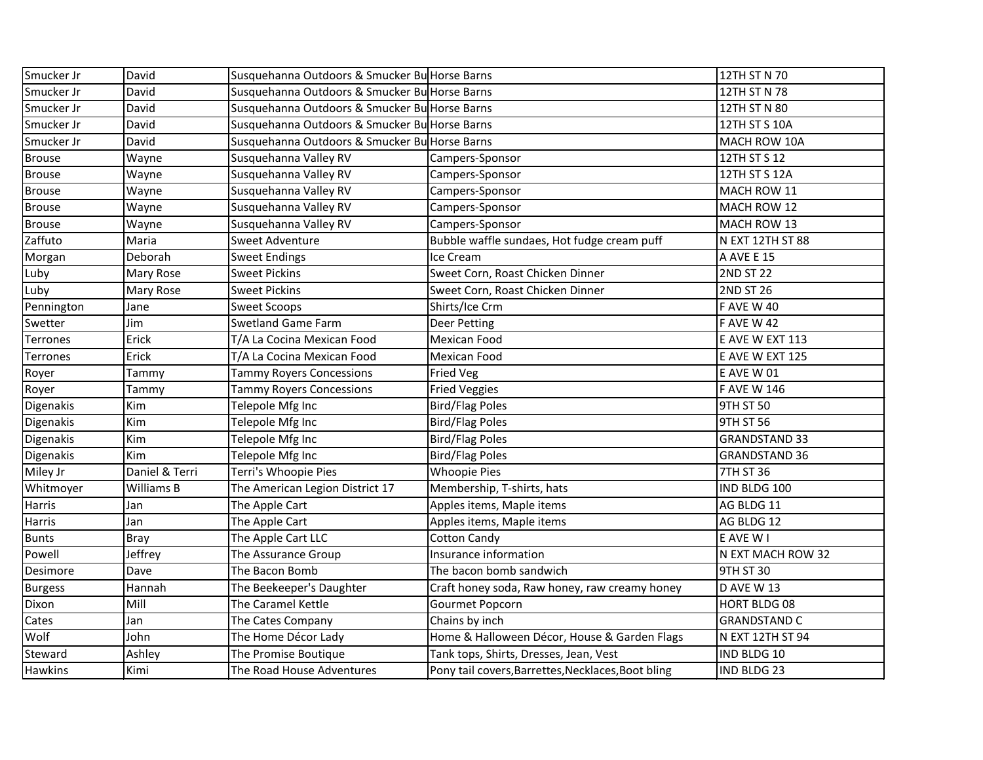| Smucker Jr      | David          | Susquehanna Outdoors & Smucker Bu Horse Barns |                                                    | 12TH ST N 70         |
|-----------------|----------------|-----------------------------------------------|----------------------------------------------------|----------------------|
| Smucker Jr      | David          | Susquehanna Outdoors & Smucker Bu Horse Barns |                                                    | 12TH ST N 78         |
| Smucker Jr      | David          | Susquehanna Outdoors & Smucker Bu Horse Barns |                                                    | 12TH ST N 80         |
| Smucker Jr      | David          | Susquehanna Outdoors & Smucker Bu Horse Barns |                                                    | 12TH ST S 10A        |
| Smucker Jr      | David          | Susquehanna Outdoors & Smucker Bu Horse Barns |                                                    | MACH ROW 10A         |
| <b>Brouse</b>   | Wayne          | Susquehanna Valley RV                         | Campers-Sponsor                                    | 12TH ST S 12         |
| <b>Brouse</b>   | Wayne          | Susquehanna Valley RV                         | Campers-Sponsor                                    | 12TH ST S 12A        |
| <b>Brouse</b>   | Wayne          | Susquehanna Valley RV                         | Campers-Sponsor                                    | MACH ROW 11          |
| <b>Brouse</b>   | Wayne          | Susquehanna Valley RV                         | Campers-Sponsor                                    | MACH ROW 12          |
| <b>Brouse</b>   | Wayne          | Susquehanna Valley RV                         | Campers-Sponsor                                    | MACH ROW 13          |
| Zaffuto         | Maria          | Sweet Adventure                               | Bubble waffle sundaes, Hot fudge cream puff        | N EXT 12TH ST 88     |
| Morgan          | Deborah        | <b>Sweet Endings</b>                          | Ice Cream                                          | A AVE E 15           |
| Luby            | Mary Rose      | <b>Sweet Pickins</b>                          | Sweet Corn, Roast Chicken Dinner                   | <b>2ND ST 22</b>     |
| Luby            | Mary Rose      | <b>Sweet Pickins</b>                          | Sweet Corn, Roast Chicken Dinner                   | <b>2ND ST 26</b>     |
| Pennington      | Jane           | <b>Sweet Scoops</b>                           | Shirts/Ice Crm                                     | <b>FAVEW40</b>       |
| Swetter         | Jim            | <b>Swetland Game Farm</b>                     | Deer Petting                                       | <b>FAVEW42</b>       |
| <b>Terrones</b> | Erick          | T/A La Cocina Mexican Food                    | <b>Mexican Food</b>                                | E AVE W EXT 113      |
| <b>Terrones</b> | Erick          | T/A La Cocina Mexican Food                    | Mexican Food                                       | E AVE W EXT 125      |
| Royer           | Tammy          | <b>Tammy Royers Concessions</b>               | <b>Fried Veg</b>                                   | <b>E AVE W 01</b>    |
| Royer           | Tammy          | <b>Tammy Royers Concessions</b>               | <b>Fried Veggies</b>                               | <b>FAVE W 146</b>    |
| Digenakis       | Kim            | Telepole Mfg Inc                              | <b>Bird/Flag Poles</b>                             | 9TH ST 50            |
| Digenakis       | Kim            | Telepole Mfg Inc                              | <b>Bird/Flag Poles</b>                             | 9TH ST 56            |
| Digenakis       | Kim            | Telepole Mfg Inc                              | <b>Bird/Flag Poles</b>                             | <b>GRANDSTAND 33</b> |
| Digenakis       | Kim            | Telepole Mfg Inc                              | <b>Bird/Flag Poles</b>                             | <b>GRANDSTAND 36</b> |
| Miley Jr        | Daniel & Terri | Terri's Whoopie Pies                          | <b>Whoopie Pies</b>                                | 7TH ST 36            |
| Whitmoyer       | Williams B     | The American Legion District 17               | Membership, T-shirts, hats                         | IND BLDG 100         |
| Harris          | Jan            | The Apple Cart                                | Apples items, Maple items                          | AG BLDG 11           |
| <b>Harris</b>   | Jan            | The Apple Cart                                | Apples items, Maple items                          | AG BLDG 12           |
| <b>Bunts</b>    | <b>Bray</b>    | The Apple Cart LLC                            | <b>Cotton Candy</b>                                | E AVE W I            |
| Powell          | Jeffrey        | The Assurance Group                           | Insurance information                              | N EXT MACH ROW 32    |
| Desimore        | Dave           | The Bacon Bomb                                | The bacon bomb sandwich                            | 9TH ST 30            |
| <b>Burgess</b>  | Hannah         | The Beekeeper's Daughter                      | Craft honey soda, Raw honey, raw creamy honey      | D AVE W 13           |
| Dixon           | Mill           | The Caramel Kettle                            | Gourmet Popcorn                                    | <b>HORT BLDG 08</b>  |
| Cates           | Jan            | The Cates Company                             | Chains by inch                                     | <b>GRANDSTAND C</b>  |
| Wolf            | John           | The Home Décor Lady                           | Home & Halloween Décor, House & Garden Flags       | N EXT 12TH ST 94     |
| Steward         | Ashley         | The Promise Boutique                          | Tank tops, Shirts, Dresses, Jean, Vest             | IND BLDG 10          |
| <b>Hawkins</b>  | Kimi           | The Road House Adventures                     | Pony tail covers, Barrettes, Necklaces, Boot bling | IND BLDG 23          |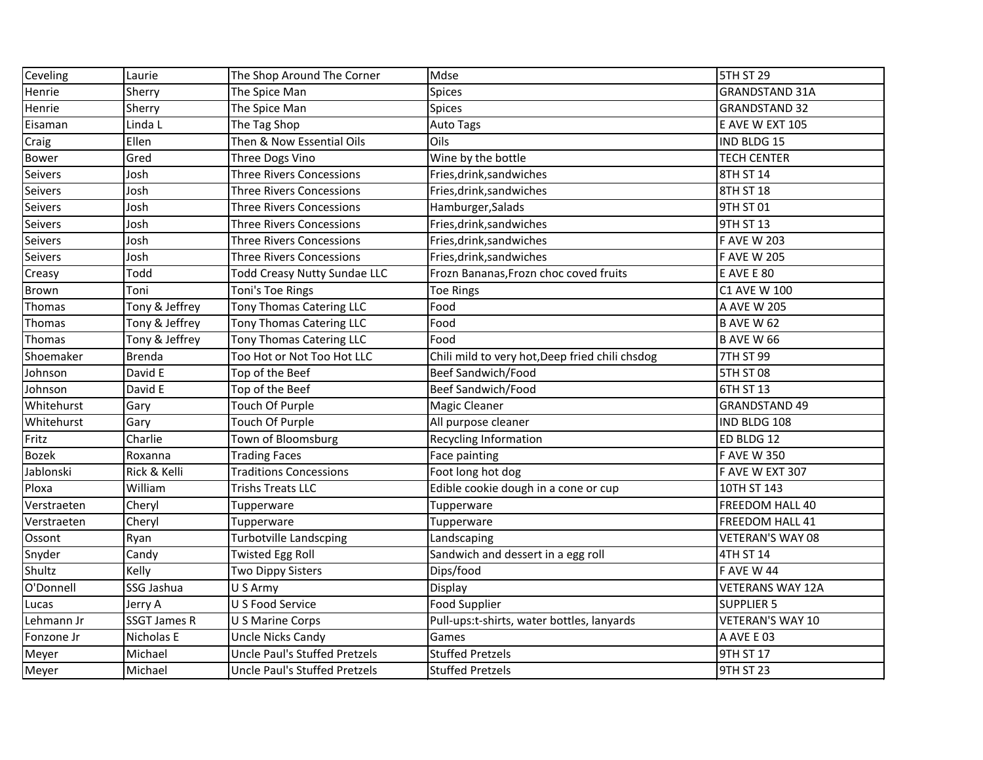| Ceveling       | Laurie              | The Shop Around The Corner           | Mdse                                            | <b>5TH ST 29</b>        |
|----------------|---------------------|--------------------------------------|-------------------------------------------------|-------------------------|
| Henrie         | Sherry              | The Spice Man                        | <b>Spices</b>                                   | <b>GRANDSTAND 31A</b>   |
| Henrie         | Sherry              | The Spice Man                        | <b>Spices</b>                                   | <b>GRANDSTAND 32</b>    |
| Eisaman        | Linda L             | The Tag Shop                         | Auto Tags                                       | E AVE W EXT 105         |
| Craig          | Ellen               | Then & Now Essential Oils            | Oils                                            | IND BLDG 15             |
| <b>Bower</b>   | Gred                | Three Dogs Vino                      | Wine by the bottle                              | <b>TECH CENTER</b>      |
| Seivers        | Josh                | <b>Three Rivers Concessions</b>      | Fries, drink, sandwiches                        | 8TH ST 14               |
| Seivers        | Josh                | <b>Three Rivers Concessions</b>      | Fries, drink, sandwiches                        | 8TH ST 18               |
| <b>Seivers</b> | Josh                | <b>Three Rivers Concessions</b>      | Hamburger, Salads                               | 9TH ST 01               |
| Seivers        | Josh                | <b>Three Rivers Concessions</b>      | Fries, drink, sandwiches                        | 9TH ST 13               |
| Seivers        | Josh                | <b>Three Rivers Concessions</b>      | Fries, drink, sandwiches                        | <b>F AVE W 203</b>      |
| <b>Seivers</b> | Josh                | <b>Three Rivers Concessions</b>      | Fries, drink, sandwiches                        | <b>F AVE W 205</b>      |
| Creasy         | Todd                | <b>Todd Creasy Nutty Sundae LLC</b>  | Frozn Bananas, Frozn choc coved fruits          | <b>E AVE E 80</b>       |
| <b>Brown</b>   | Toni                | Toni's Toe Rings                     | <b>Toe Rings</b>                                | C1 AVE W 100            |
| Thomas         | Tony & Jeffrey      | Tony Thomas Catering LLC             | Food                                            | A AVE W 205             |
| Thomas         | Tony & Jeffrey      | Tony Thomas Catering LLC             | Food                                            | <b>B AVE W 62</b>       |
| Thomas         | Tony & Jeffrey      | Tony Thomas Catering LLC             | Food                                            | <b>B AVE W 66</b>       |
| Shoemaker      | <b>Brenda</b>       | Too Hot or Not Too Hot LLC           | Chili mild to very hot, Deep fried chili chsdog | 7TH ST 99               |
| Johnson        | David E             | Top of the Beef                      | <b>Beef Sandwich/Food</b>                       | <b>5TH ST 08</b>        |
| Johnson        | David E             | Top of the Beef                      | <b>Beef Sandwich/Food</b>                       | 6TH ST 13               |
| Whitehurst     | Gary                | <b>Touch Of Purple</b>               | <b>Magic Cleaner</b>                            | <b>GRANDSTAND 49</b>    |
| Whitehurst     | Gary                | <b>Touch Of Purple</b>               | All purpose cleaner                             | IND BLDG 108            |
| Fritz          | Charlie             | Town of Bloomsburg                   | <b>Recycling Information</b>                    | ED BLDG 12              |
| <b>Bozek</b>   | Roxanna             | <b>Trading Faces</b>                 | Face painting                                   | <b>F AVE W 350</b>      |
| Jablonski      | Rick & Kelli        | <b>Traditions Concessions</b>        | Foot long hot dog                               | F AVE W EXT 307         |
| Ploxa          | William             | <b>Trishs Treats LLC</b>             | Edible cookie dough in a cone or cup            | 10TH ST 143             |
| Verstraeten    | Cheryl              | Tupperware                           | Tupperware                                      | FREEDOM HALL 40         |
| Verstraeten    | Cheryl              | Tupperware                           | Tupperware                                      | FREEDOM HALL 41         |
| Ossont         | Ryan                | <b>Turbotville Landscping</b>        | Landscaping                                     | VETERAN'S WAY 08        |
| Snyder         | Candy               | <b>Twisted Egg Roll</b>              | Sandwich and dessert in a egg roll              | 4TH ST 14               |
| Shultz         | Kelly               | Two Dippy Sisters                    | Dips/food                                       | <b>FAVEW44</b>          |
| O'Donnell      | SSG Jashua          | U S Army                             | Display                                         | <b>VETERANS WAY 12A</b> |
| Lucas          | Jerry A             | U S Food Service                     | <b>Food Supplier</b>                            | <b>SUPPLIER 5</b>       |
| Lehmann Jr     | <b>SSGT James R</b> | U S Marine Corps                     | Pull-ups:t-shirts, water bottles, lanyards      | VETERAN'S WAY 10        |
| Fonzone Jr     | Nicholas E          | Uncle Nicks Candy                    | Games                                           | A AVE E 03              |
| Meyer          | Michael             | <b>Uncle Paul's Stuffed Pretzels</b> | <b>Stuffed Pretzels</b>                         | 9TH ST 17               |
| Meyer          | Michael             | Uncle Paul's Stuffed Pretzels        | <b>Stuffed Pretzels</b>                         | 9TH ST 23               |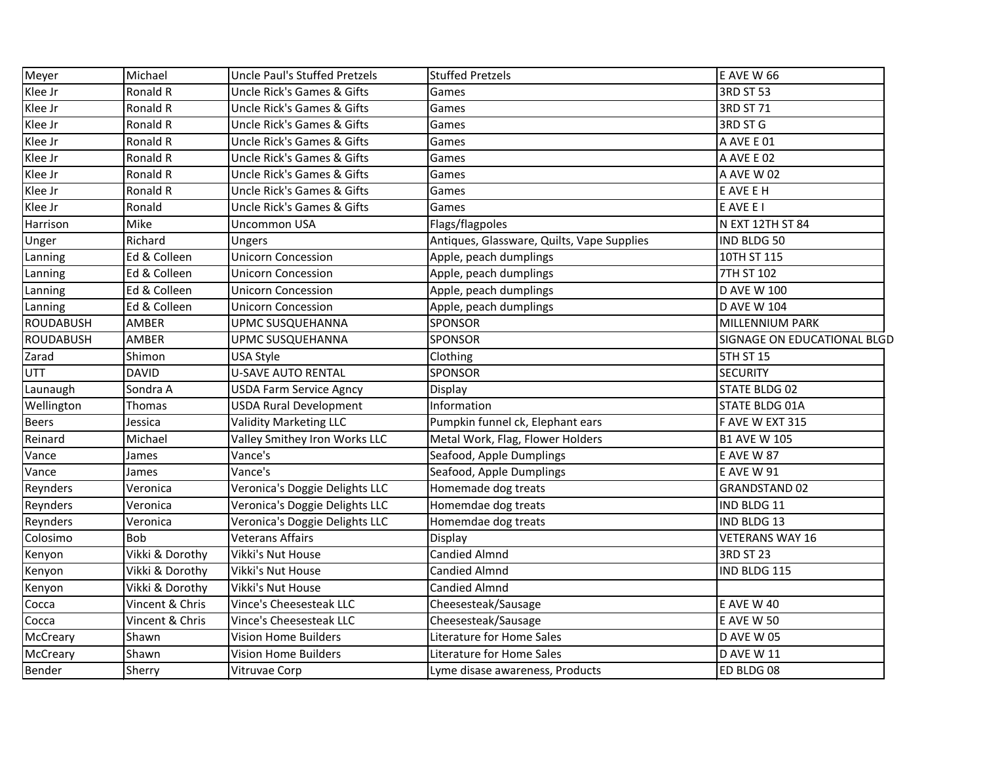| Meyer            | Michael         | Uncle Paul's Stuffed Pretzels         | <b>Stuffed Pretzels</b>                    | <b>E AVE W 66</b>           |
|------------------|-----------------|---------------------------------------|--------------------------------------------|-----------------------------|
| Klee Jr          | Ronald R        | <b>Uncle Rick's Games &amp; Gifts</b> | Games                                      | 3RD ST 53                   |
| Klee Jr          | Ronald R        | Uncle Rick's Games & Gifts            | Games                                      | 3RD ST 71                   |
| Klee Jr          | Ronald R        | <b>Uncle Rick's Games &amp; Gifts</b> | Games                                      | 3RD ST G                    |
| Klee Jr          | Ronald R        | <b>Uncle Rick's Games &amp; Gifts</b> | Games                                      | A AVE E 01                  |
| Klee Jr          | Ronald R        | Uncle Rick's Games & Gifts            | Games                                      | A AVE E 02                  |
| Klee Jr          | Ronald R        | <b>Uncle Rick's Games &amp; Gifts</b> | Games                                      | A AVE W 02                  |
| Klee Jr          | Ronald R        | <b>Uncle Rick's Games &amp; Gifts</b> | Games                                      | E AVE E H                   |
| Klee Jr          | Ronald          | <b>Uncle Rick's Games &amp; Gifts</b> | Games                                      | E AVE E I                   |
| Harrison         | Mike            | Uncommon USA                          | Flags/flagpoles                            | N EXT 12TH ST 84            |
| Unger            | Richard         | Ungers                                | Antiques, Glassware, Quilts, Vape Supplies | IND BLDG 50                 |
| Lanning          | Ed & Colleen    | <b>Unicorn Concession</b>             | Apple, peach dumplings                     | 10TH ST 115                 |
| Lanning          | Ed & Colleen    | <b>Unicorn Concession</b>             | Apple, peach dumplings                     | 7TH ST 102                  |
| Lanning          | Ed & Colleen    | <b>Unicorn Concession</b>             | Apple, peach dumplings                     | <b>D AVE W 100</b>          |
| Lanning          | Ed & Colleen    | <b>Unicorn Concession</b>             | Apple, peach dumplings                     | <b>D AVE W 104</b>          |
| <b>ROUDABUSH</b> | AMBER           | UPMC SUSQUEHANNA                      | <b>SPONSOR</b>                             | MILLENNIUM PARK             |
| <b>ROUDABUSH</b> | AMBER           | UPMC SUSQUEHANNA                      | <b>SPONSOR</b>                             | SIGNAGE ON EDUCATIONAL BLGD |
| Zarad            | Shimon          | USA Style                             | Clothing                                   | 5TH ST 15                   |
| <b>UTT</b>       | <b>DAVID</b>    | <b>U-SAVE AUTO RENTAL</b>             | <b>SPONSOR</b>                             | <b>SECURITY</b>             |
| Launaugh         | Sondra A        | <b>USDA Farm Service Agncy</b>        | Display                                    | <b>STATE BLDG 02</b>        |
| Wellington       | Thomas          | <b>USDA Rural Development</b>         | Information                                | <b>STATE BLDG 01A</b>       |
| <b>Beers</b>     | Jessica         | <b>Validity Marketing LLC</b>         | Pumpkin funnel ck, Elephant ears           | F AVE W EXT 315             |
| Reinard          | Michael         | Valley Smithey Iron Works LLC         | Metal Work, Flag, Flower Holders           | <b>B1 AVE W 105</b>         |
| Vance            | James           | Vance's                               | Seafood, Apple Dumplings                   | <b>E AVE W 87</b>           |
| Vance            | James           | Vance's                               | Seafood, Apple Dumplings                   | <b>E AVE W 91</b>           |
| Reynders         | Veronica        | Veronica's Doggie Delights LLC        | Homemade dog treats                        | <b>GRANDSTAND 02</b>        |
| Reynders         | Veronica        | Veronica's Doggie Delights LLC        | Homemdae dog treats                        | IND BLDG 11                 |
| Reynders         | Veronica        | Veronica's Doggie Delights LLC        | Homemdae dog treats                        | IND BLDG 13                 |
| Colosimo         | <b>Bob</b>      | <b>Veterans Affairs</b>               | Display                                    | <b>VETERANS WAY 16</b>      |
| Kenyon           | Vikki & Dorothy | Vikki's Nut House                     | <b>Candied Almnd</b>                       | <b>3RD ST 23</b>            |
| Kenyon           | Vikki & Dorothy | Vikki's Nut House                     | <b>Candied Almnd</b>                       | IND BLDG 115                |
| Kenyon           | Vikki & Dorothy | <b>Vikki's Nut House</b>              | Candied Almnd                              |                             |
| Cocca            | Vincent & Chris | Vince's Cheesesteak LLC               | Cheesesteak/Sausage                        | <b>E AVE W 40</b>           |
| Cocca            | Vincent & Chris | Vince's Cheesesteak LLC               | Cheesesteak/Sausage                        | <b>E AVE W 50</b>           |
| McCreary         | Shawn           | <b>Vision Home Builders</b>           | Literature for Home Sales                  | <b>D AVE W 05</b>           |
| McCreary         | Shawn           | <b>Vision Home Builders</b>           | Literature for Home Sales                  | D AVE W 11                  |
| Bender           | Sherry          | Vitruvae Corp                         | Lyme disase awareness, Products            | ED BLDG 08                  |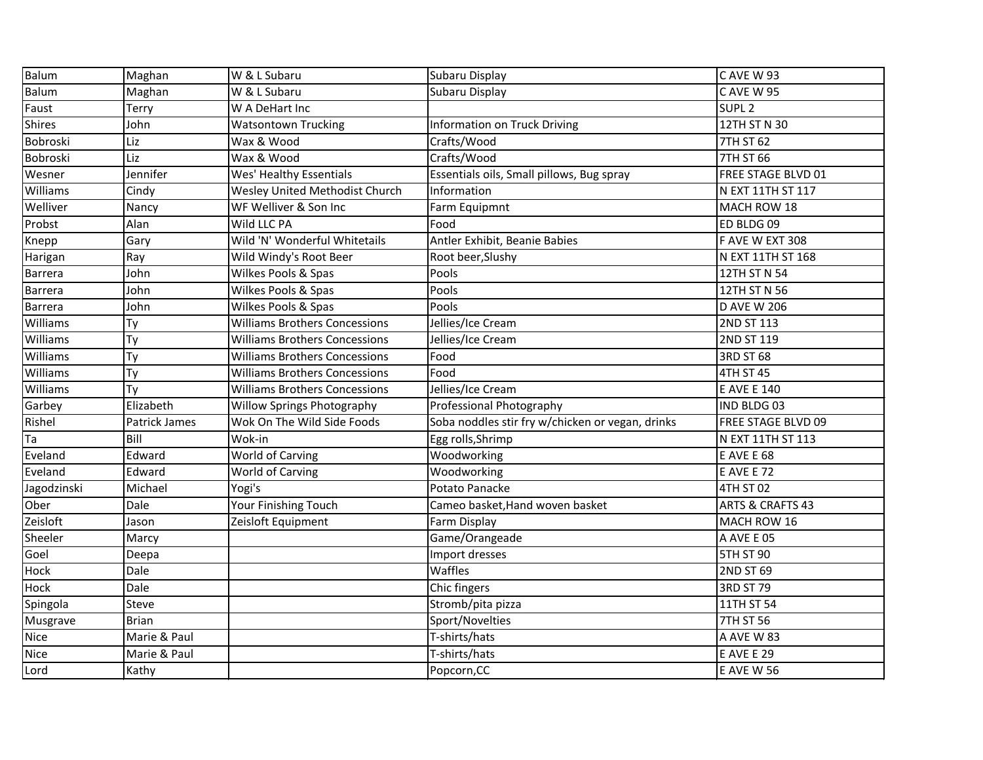| Balum           | Maghan        | W & L Subaru                         | Subaru Display                                   | CAVE W 93                   |
|-----------------|---------------|--------------------------------------|--------------------------------------------------|-----------------------------|
| <b>Balum</b>    | Maghan        | W & L Subaru                         | Subaru Display                                   | CAVE W 95                   |
| Faust           | Terry         | W A DeHart Inc                       |                                                  | SUPL <sub>2</sub>           |
| <b>Shires</b>   | John          | <b>Watsontown Trucking</b>           | <b>Information on Truck Driving</b>              | 12TH ST N 30                |
| Bobroski        | Liz           | Wax & Wood                           | Crafts/Wood                                      | 7TH ST 62                   |
| Bobroski        | Liz           | Wax & Wood                           | Crafts/Wood                                      | 7TH ST 66                   |
| Wesner          | Jennifer      | Wes' Healthy Essentials              | Essentials oils, Small pillows, Bug spray        | FREE STAGE BLVD 01          |
| Williams        | Cindy         | Wesley United Methodist Church       | Information                                      | N EXT 11TH ST 117           |
| Welliver        | Nancy         | WF Welliver & Son Inc                | Farm Equipmnt                                    | MACH ROW 18                 |
| Probst          | Alan          | Wild LLC PA                          | Food                                             | ED BLDG 09                  |
| Knepp           | Gary          | Wild 'N' Wonderful Whitetails        | Antler Exhibit, Beanie Babies                    | F AVE W EXT 308             |
| Harigan         | Ray           | Wild Windy's Root Beer               | Root beer, Slushy                                | N EXT 11TH ST 168           |
| <b>Barrera</b>  | John          | Wilkes Pools & Spas                  | Pools                                            | 12TH ST N 54                |
| <b>Barrera</b>  | John          | Wilkes Pools & Spas                  | Pools                                            | 12TH ST N 56                |
| Barrera         | John          | Wilkes Pools & Spas                  | Pools                                            | <b>D AVE W 206</b>          |
| Williams        | Ty            | <b>Williams Brothers Concessions</b> | Jellies/Ice Cream                                | 2ND ST 113                  |
| Williams        | Ty            | <b>Williams Brothers Concessions</b> | Jellies/Ice Cream                                | 2ND ST 119                  |
| Williams        | Ty            | <b>Williams Brothers Concessions</b> | Food                                             | 3RD ST 68                   |
| Williams        | Ty            | <b>Williams Brothers Concessions</b> | Food                                             | 4TH ST 45                   |
| Williams        | Ty            | <b>Williams Brothers Concessions</b> | Jellies/Ice Cream                                | <b>E AVE E 140</b>          |
| Garbey          | Elizabeth     | Willow Springs Photography           | Professional Photography                         | IND BLDG 03                 |
| Rishel          | Patrick James | Wok On The Wild Side Foods           | Soba noddles stir fry w/chicken or vegan, drinks | FREE STAGE BLVD 09          |
| Ta              | Bill          | Wok-in                               | Egg rolls, Shrimp                                | N EXT 11TH ST 113           |
| Eveland         | Edward        | World of Carving                     | Woodworking                                      | <b>E AVE E 68</b>           |
| Eveland         | Edward        | World of Carving                     | Woodworking                                      | <b>E AVE E 72</b>           |
| Jagodzinski     | Michael       | Yogi's                               | Potato Panacke                                   | 4TH ST 02                   |
| Ober            | Dale          | Your Finishing Touch                 | Cameo basket, Hand woven basket                  | <b>ARTS &amp; CRAFTS 43</b> |
| Zeisloft        | Jason         | Zeisloft Equipment                   | Farm Display                                     | MACH ROW 16                 |
| Sheeler         | Marcy         |                                      | Game/Orangeade                                   | A AVE E 05                  |
| Goel            | Deepa         |                                      | Import dresses                                   | <b>5TH ST 90</b>            |
| Hock            | Dale          |                                      | Waffles                                          | 2ND ST 69                   |
| Hock            | Dale          |                                      | Chic fingers                                     | 3RD ST 79                   |
| Spingola        | Steve         |                                      | Stromb/pita pizza                                | 11TH ST 54                  |
| <b>Musgrave</b> | <b>Brian</b>  |                                      | Sport/Novelties                                  | <b>7TH ST 56</b>            |
| Nice            | Marie & Paul  |                                      | T-shirts/hats                                    | A AVE W 83                  |
| Nice            | Marie & Paul  |                                      | T-shirts/hats                                    | <b>E AVE E 29</b>           |
| Lord            | Kathy         |                                      | Popcorn, CC                                      | <b>E AVE W 56</b>           |